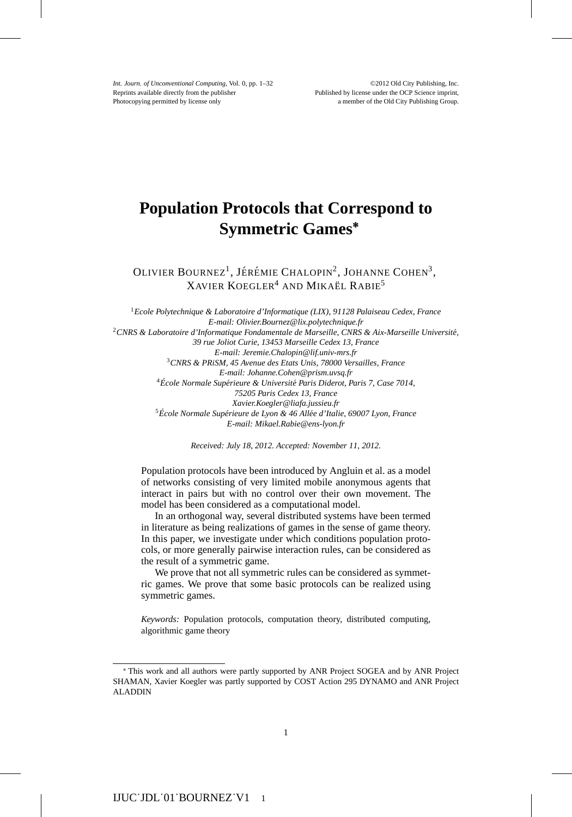*Int. Journ. of Unconventional Computing*, Vol. 0, pp. 1–32 ©2012 Old City Publishing, Inc.<br>Reprints available directly from the publisher **Published by license under the OCP** Science imprint, Photocopying permitted by license only a member of the Old City Publishing Group.

# **Population Protocols that Correspond to Symmetric Games<sup>∗</sup>**

OLIVIER BOURNEZ<sup>1</sup>, JÉRÉMIE CHALOPIN<sup>2</sup>, JOHANNE COHEN<sup>3</sup>, XAVIER KOEGLER<sup>4</sup> AND MIKAËL RABIE<sup>5</sup>

<sup>1</sup>*Ecole Polytechnique & Laboratoire d'Informatique (LIX), 91128 Palaiseau Cedex, France E-mail: Olivier.Bournez@lix.polytechnique.fr* <sup>2</sup>*CNRS & Laboratoire d'Informatique Fondamentale de Marseille, CNRS & Aix-Marseille Universite,´ 39 rue Joliot Curie, 13453 Marseille Cedex 13, France E-mail: Jeremie.Chalopin@lif.univ-mrs.fr* <sup>3</sup>*CNRS & PRiSM, 45 Avenue des Etats Unis, 78000 Versailles, France E-mail: Johanne.Cohen@prism.uvsq.fr* <sup>4</sup> École Normale Supérieure & Université Paris Diderot, Paris 7, Case 7014, *75205 Paris Cedex 13, France Xavier.Koegler@liafa.jussieu.fr* <sup>5</sup> École Normale Supérieure de Lyon & 46 Allée d'Italie, 69007 Lyon, France *E-mail: Mikael.Rabie@ens-lyon.fr*

*Received: July 18, 2012. Accepted: November 11, 2012.*

Population protocols have been introduced by Angluin et al. as a model of networks consisting of very limited mobile anonymous agents that interact in pairs but with no control over their own movement. The model has been considered as a computational model.

In an orthogonal way, several distributed systems have been termed in literature as being realizations of games in the sense of game theory. In this paper, we investigate under which conditions population protocols, or more generally pairwise interaction rules, can be considered as the result of a symmetric game.

We prove that not all symmetric rules can be considered as symmetric games. We prove that some basic protocols can be realized using symmetric games.

*Keywords:* Population protocols, computation theory, distributed computing, algorithmic game theory

<sup>∗</sup> This work and all authors were partly supported by ANR Project SOGEA and by ANR Project SHAMAN, Xavier Koegler was partly supported by COST Action 295 DYNAMO and ANR Project ALADDIN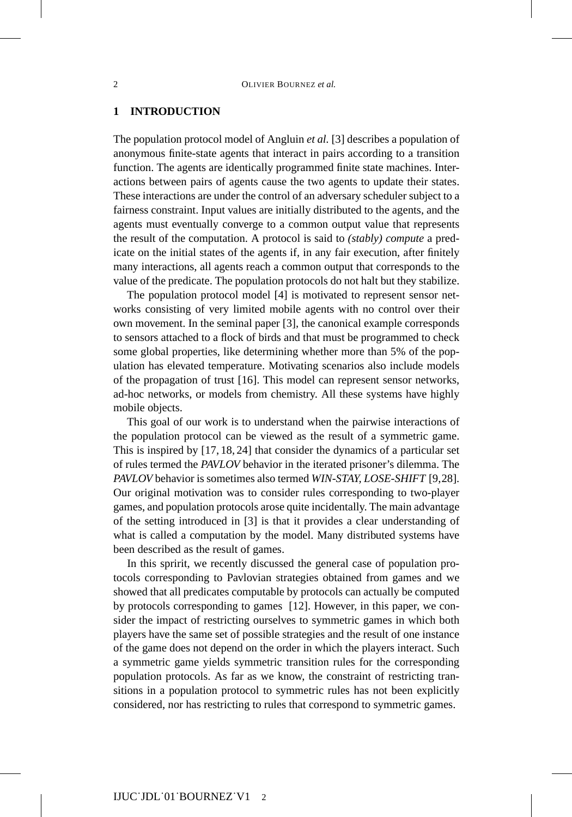## **1 INTRODUCTION**

The population protocol model of Angluin *et al.* [3] describes a population of anonymous finite-state agents that interact in pairs according to a transition function. The agents are identically programmed finite state machines. Interactions between pairs of agents cause the two agents to update their states. These interactions are under the control of an adversary scheduler subject to a fairness constraint. Input values are initially distributed to the agents, and the agents must eventually converge to a common output value that represents the result of the computation. A protocol is said to *(stably) compute* a predicate on the initial states of the agents if, in any fair execution, after finitely many interactions, all agents reach a common output that corresponds to the value of the predicate. The population protocols do not halt but they stabilize.

The population protocol model [4] is motivated to represent sensor networks consisting of very limited mobile agents with no control over their own movement. In the seminal paper [3], the canonical example corresponds to sensors attached to a flock of birds and that must be programmed to check some global properties, like determining whether more than 5% of the population has elevated temperature. Motivating scenarios also include models of the propagation of trust [16]. This model can represent sensor networks, ad-hoc networks, or models from chemistry. All these systems have highly mobile objects.

This goal of our work is to understand when the pairwise interactions of the population protocol can be viewed as the result of a symmetric game. This is inspired by [17, 18, 24] that consider the dynamics of a particular set of rules termed the *PAVLOV* behavior in the iterated prisoner's dilemma. The *PAVLOV* behavior is sometimes also termed *WIN-STAY, LOSE-SHIFT* [9,28]. Our original motivation was to consider rules corresponding to two-player games, and population protocols arose quite incidentally. The main advantage of the setting introduced in [3] is that it provides a clear understanding of what is called a computation by the model. Many distributed systems have been described as the result of games.

In this spririt, we recently discussed the general case of population protocols corresponding to Pavlovian strategies obtained from games and we showed that all predicates computable by protocols can actually be computed by protocols corresponding to games [12]. However, in this paper, we consider the impact of restricting ourselves to symmetric games in which both players have the same set of possible strategies and the result of one instance of the game does not depend on the order in which the players interact. Such a symmetric game yields symmetric transition rules for the corresponding population protocols. As far as we know, the constraint of restricting transitions in a population protocol to symmetric rules has not been explicitly considered, nor has restricting to rules that correspond to symmetric games.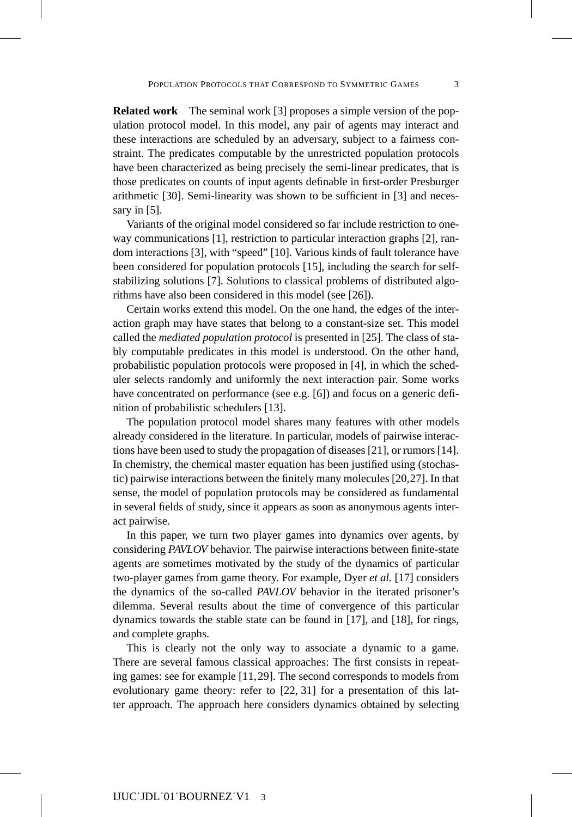**Related work** The seminal work [3] proposes a simple version of the population protocol model. In this model, any pair of agents may interact and these interactions are scheduled by an adversary, subject to a fairness constraint. The predicates computable by the unrestricted population protocols have been characterized as being precisely the semi-linear predicates, that is those predicates on counts of input agents definable in first-order Presburger arithmetic [30]. Semi-linearity was shown to be sufficient in [3] and necessary in [5].

Variants of the original model considered so far include restriction to oneway communications [1], restriction to particular interaction graphs [2], random interactions [3], with "speed" [10]. Various kinds of fault tolerance have been considered for population protocols [15], including the search for selfstabilizing solutions [7]. Solutions to classical problems of distributed algorithms have also been considered in this model (see [26]).

Certain works extend this model. On the one hand, the edges of the interaction graph may have states that belong to a constant-size set. This model called the *mediated population protocol* is presented in [25]. The class of stably computable predicates in this model is understood. On the other hand, probabilistic population protocols were proposed in [4], in which the scheduler selects randomly and uniformly the next interaction pair. Some works have concentrated on performance (see e.g. [6]) and focus on a generic definition of probabilistic schedulers [13].

The population protocol model shares many features with other models already considered in the literature. In particular, models of pairwise interactions have been used to study the propagation of diseases [21], or rumors [14]. In chemistry, the chemical master equation has been justified using (stochastic) pairwise interactions between the finitely many molecules [20,27]. In that sense, the model of population protocols may be considered as fundamental in several fields of study, since it appears as soon as anonymous agents interact pairwise.

In this paper, we turn two player games into dynamics over agents, by considering *PAVLOV* behavior. The pairwise interactions between finite-state agents are sometimes motivated by the study of the dynamics of particular two-player games from game theory. For example, Dyer *et al.* [17] considers the dynamics of the so-called *PAVLOV* behavior in the iterated prisoner's dilemma. Several results about the time of convergence of this particular dynamics towards the stable state can be found in [17], and [18], for rings, and complete graphs.

This is clearly not the only way to associate a dynamic to a game. There are several famous classical approaches: The first consists in repeating games: see for example [11,29]. The second corresponds to models from evolutionary game theory: refer to [22, 31] for a presentation of this latter approach. The approach here considers dynamics obtained by selecting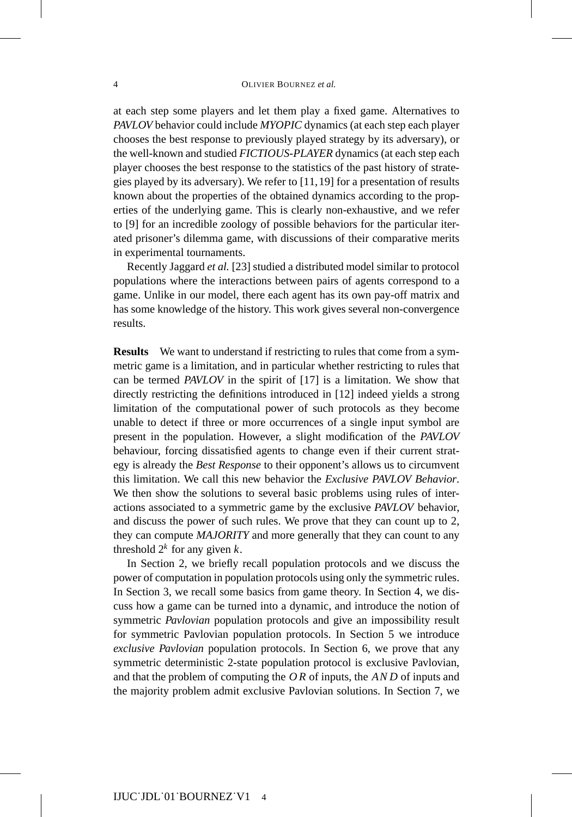at each step some players and let them play a fixed game. Alternatives to *PAVLOV* behavior could include *MYOPIC* dynamics (at each step each player chooses the best response to previously played strategy by its adversary), or the well-known and studied *FICTIOUS-PLAYER* dynamics (at each step each player chooses the best response to the statistics of the past history of strategies played by its adversary). We refer to [11,19] for a presentation of results known about the properties of the obtained dynamics according to the properties of the underlying game. This is clearly non-exhaustive, and we refer to [9] for an incredible zoology of possible behaviors for the particular iterated prisoner's dilemma game, with discussions of their comparative merits in experimental tournaments.

Recently Jaggard *et al.* [23] studied a distributed model similar to protocol populations where the interactions between pairs of agents correspond to a game. Unlike in our model, there each agent has its own pay-off matrix and has some knowledge of the history. This work gives several non-convergence results.

**Results** We want to understand if restricting to rules that come from a symmetric game is a limitation, and in particular whether restricting to rules that can be termed *PAVLOV* in the spirit of [17] is a limitation. We show that directly restricting the definitions introduced in [12] indeed yields a strong limitation of the computational power of such protocols as they become unable to detect if three or more occurrences of a single input symbol are present in the population. However, a slight modification of the *PAVLOV* behaviour, forcing dissatisfied agents to change even if their current strategy is already the *Best Response* to their opponent's allows us to circumvent this limitation. We call this new behavior the *Exclusive PAVLOV Behavior*. We then show the solutions to several basic problems using rules of interactions associated to a symmetric game by the exclusive *PAVLOV* behavior, and discuss the power of such rules. We prove that they can count up to 2, they can compute *MAJORITY* and more generally that they can count to any threshold  $2^k$  for any given  $k$ .

In Section 2, we briefly recall population protocols and we discuss the power of computation in population protocols using only the symmetric rules. In Section 3, we recall some basics from game theory. In Section 4, we discuss how a game can be turned into a dynamic, and introduce the notion of symmetric *Pavlovian* population protocols and give an impossibility result for symmetric Pavlovian population protocols. In Section 5 we introduce *exclusive Pavlovian* population protocols. In Section 6, we prove that any symmetric deterministic 2-state population protocol is exclusive Pavlovian, and that the problem of computing the *O R* of inputs, the *AND* of inputs and the majority problem admit exclusive Pavlovian solutions. In Section 7, we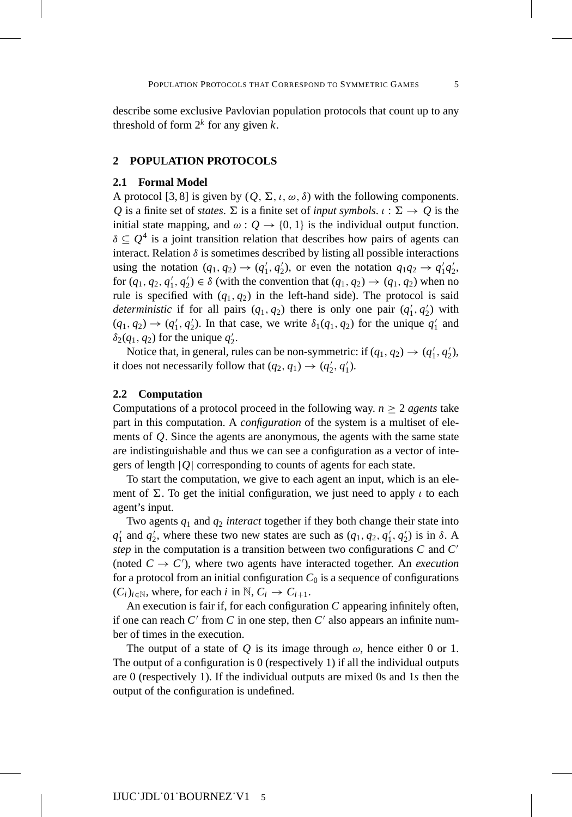describe some exclusive Pavlovian population protocols that count up to any threshold of form  $2^k$  for any given  $k$ .

#### **2 POPULATION PROTOCOLS**

## **2.1 Formal Model**

A protocol [3, 8] is given by  $(Q, \Sigma, \iota, \omega, \delta)$  with the following components.  $Q$  is a finite set of *states*.  $\Sigma$  is a finite set of *input symbols*.  $\iota : \Sigma \to Q$  is the initial state mapping, and  $\omega: Q \to \{0, 1\}$  is the individual output function.  $\delta \subseteq Q^4$  is a joint transition relation that describes how pairs of agents can interact. Relation  $\delta$  is sometimes described by listing all possible interactions using the notation  $(q_1, q_2) \rightarrow (q'_1, q'_2)$ , or even the notation  $q_1q_2 \rightarrow q'_1q'_2$ , for  $(q_1, q_2, q'_1, q'_2) \in \delta$  (with the convention that  $(q_1, q_2) \to (q_1, q_2)$  when no rule is specified with  $(q_1, q_2)$  in the left-hand side). The protocol is said *deterministic* if for all pairs  $(q_1, q_2)$  there is only one pair  $(q'_1, q'_2)$  with  $(q_1, q_2) \rightarrow (q'_1, q'_2)$ . In that case, we write  $\delta_1(q_1, q_2)$  for the unique  $q'_1$  and  $\delta_2(q_1, q_2)$  for the unique  $q'_2$ .

Notice that, in general, rules can be non-symmetric: if  $(q_1, q_2) \rightarrow (q'_1, q'_2)$ , it does not necessarily follow that  $(q_2, q_1) \rightarrow (q'_2, q'_1)$ .

### **2.2 Computation**

Computations of a protocol proceed in the following way.  $n \geq 2$  *agents* take part in this computation. A *configuration* of the system is a multiset of elements of *Q*. Since the agents are anonymous, the agents with the same state are indistinguishable and thus we can see a configuration as a vector of integers of length |*Q*| corresponding to counts of agents for each state.

To start the computation, we give to each agent an input, which is an element of  $\Sigma$ . To get the initial configuration, we just need to apply  $\iota$  to each agent's input.

Two agents  $q_1$  and  $q_2$  *interact* together if they both change their state into  $q'_1$  and  $q'_2$ , where these two new states are such as  $(q_1, q_2, q'_1, q'_2)$  is in  $\delta$ . A *step* in the computation is a transition between two configurations *C* and *C* (noted  $C \rightarrow C'$ ), where two agents have interacted together. An *execution* for a protocol from an initial configuration  $C_0$  is a sequence of configurations  $(C_i)_{i \in \mathbb{N}}$ , where, for each *i* in  $\mathbb{N}, C_i \to C_{i+1}$ .

An execution is fair if, for each configuration *C* appearing infinitely often, if one can reach  $C'$  from  $C$  in one step, then  $C'$  also appears an infinite number of times in the execution.

The output of a state of  $Q$  is its image through  $\omega$ , hence either 0 or 1. The output of a configuration is 0 (respectively 1) if all the individual outputs are 0 (respectively 1). If the individual outputs are mixed 0s and 1*s* then the output of the configuration is undefined.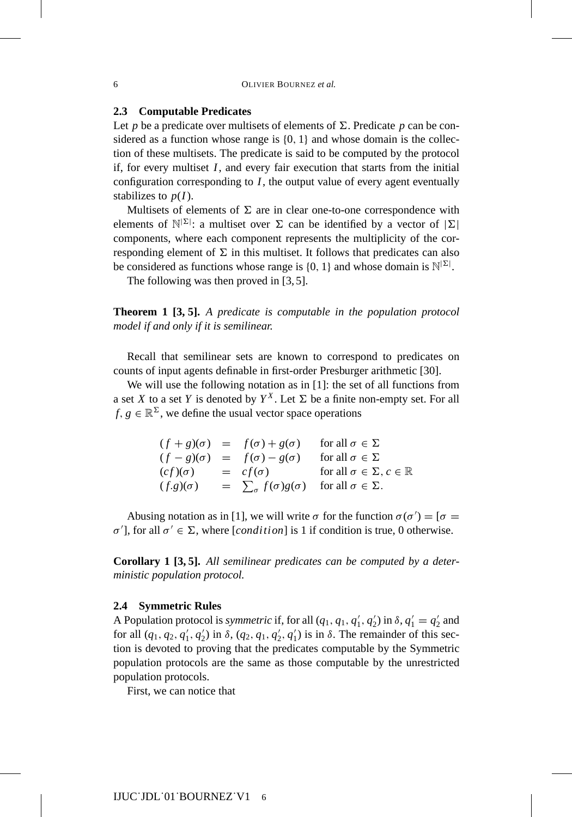## **2.3 Computable Predicates**

Let  $p$  be a predicate over multisets of elements of  $\Sigma$ . Predicate  $p$  can be considered as a function whose range is  $\{0, 1\}$  and whose domain is the collection of these multisets. The predicate is said to be computed by the protocol if, for every multiset *I*, and every fair execution that starts from the initial configuration corresponding to *I*, the output value of every agent eventually stabilizes to  $p(I)$ .

Multisets of elements of  $\Sigma$  are in clear one-to-one correspondence with elements of  $\mathbb{N}^{|\Sigma|}$ : a multiset over  $\Sigma$  can be identified by a vector of  $|\Sigma|$ components, where each component represents the multiplicity of the corresponding element of  $\Sigma$  in this multiset. It follows that predicates can also be considered as functions whose range is  $\{0, 1\}$  and whose domain is  $\mathbb{N}^{\mathbb{|\Sigma|}}$ .

The following was then proved in [3, 5].

**Theorem 1 [3, 5].** *A predicate is computable in the population protocol model if and only if it is semilinear.*

Recall that semilinear sets are known to correspond to predicates on counts of input agents definable in first-order Presburger arithmetic [30].

We will use the following notation as in [1]: the set of all functions from a set *X* to a set *Y* is denoted by  $Y^X$ . Let  $\Sigma$  be a finite non-empty set. For all  $f, g \in \mathbb{R}^{\Sigma}$ , we define the usual vector space operations

> $(f+g)(\sigma) = f(\sigma) + g(\sigma)$ for all  $\sigma \in \Sigma$  $(f - g)(\sigma) = f(\sigma) - g(\sigma)$  for all  $\sigma \in \Sigma$  $(cf)(\sigma) = cf(\sigma)$  for all  $\sigma \in \Sigma, c \in \mathbb{R}$  $(f.g)(\sigma) = \sum_{\sigma} f(\sigma)g(\sigma) \text{ for all } \sigma \in \Sigma.$

Abusing notation as in [1], we will write  $\sigma$  for the function  $\sigma(\sigma') = [\sigma =$  $σ'$ ], for all  $σ' \in \Sigma$ , where [*condition*] is 1 if condition is true, 0 otherwise.

**Corollary 1 [3, 5].** *All semilinear predicates can be computed by a deterministic population protocol.*

#### **2.4 Symmetric Rules**

A Population protocol is *symmetric* if, for all  $(q_1, q_1, q'_1, q'_2)$  in  $\delta, q'_1 = q'_2$  and for all  $(q_1, q_2, q'_1, q'_2)$  in  $\delta$ ,  $(q_2, q_1, q'_2, q'_1)$  is in  $\delta$ . The remainder of this section is devoted to proving that the predicates computable by the Symmetric population protocols are the same as those computable by the unrestricted population protocols.

First, we can notice that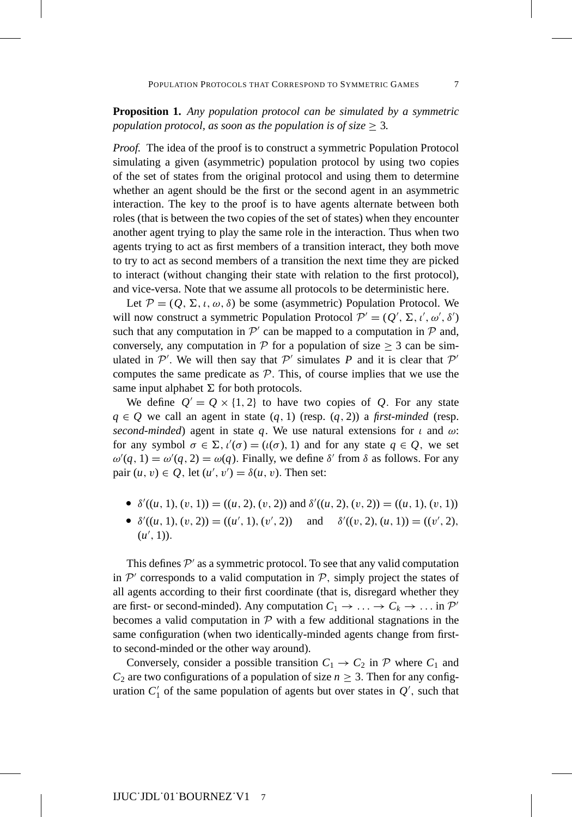**Proposition 1.** *Any population protocol can be simulated by a symmetric population protocol, as soon as the population is of size*  $\geq$  3.

*Proof.* The idea of the proof is to construct a symmetric Population Protocol simulating a given (asymmetric) population protocol by using two copies of the set of states from the original protocol and using them to determine whether an agent should be the first or the second agent in an asymmetric interaction. The key to the proof is to have agents alternate between both roles (that is between the two copies of the set of states) when they encounter another agent trying to play the same role in the interaction. Thus when two agents trying to act as first members of a transition interact, they both move to try to act as second members of a transition the next time they are picked to interact (without changing their state with relation to the first protocol), and vice-versa. Note that we assume all protocols to be deterministic here.

Let  $P = (Q, \Sigma, \iota, \omega, \delta)$  be some (asymmetric) Population Protocol. We will now construct a symmetric Population Protocol  $\mathcal{P}' = (Q', \Sigma, \iota', \omega', \delta')$ such that any computation in  $\mathcal{P}'$  can be mapped to a computation in  $\mathcal P$  and, conversely, any computation in  $\mathcal P$  for a population of size  $\geq 3$  can be simulated in  $P'$ . We will then say that  $P'$  simulates P and it is clear that  $P'$ computes the same predicate as  $P$ . This, of course implies that we use the same input alphabet  $\Sigma$  for both protocols.

We define  $Q' = Q \times \{1, 2\}$  to have two copies of Q. For any state *q* ∈ *Q* we call an agent in state  $(q, 1)$  (resp.  $(q, 2)$ ) a *first-minded* (resp. *second-minded*) agent in state q. We use natural extensions for  $\iota$  and  $\omega$ : for any symbol  $\sigma \in \Sigma$ ,  $\iota'(\sigma) = (\iota(\sigma), 1)$  and for any state  $q \in Q$ , we set  $\omega'(q, 1) = \omega'(q, 2) = \omega(q)$ . Finally, we define  $\delta'$  from  $\delta$  as follows. For any pair  $(u, v) \in Q$ , let  $(u', v') = \delta(u, v)$ . Then set:

- $\delta'((u, 1), (v, 1)) = ((u, 2), (v, 2))$  and  $\delta'((u, 2), (v, 2)) = ((u, 1), (v, 1))$
- $\delta'((u, 1), (v, 2)) = ((u', 1), (v', 2))$  and  $\delta'((v, 2), (u, 1)) = ((v', 2),$  $(u', 1)$ .

This defines  $P'$  as a symmetric protocol. To see that any valid computation in  $\mathcal{P}'$  corresponds to a valid computation in  $\mathcal{P}$ , simply project the states of all agents according to their first coordinate (that is, disregard whether they are first- or second-minded). Any computation  $C_1 \rightarrow \ldots \rightarrow C_k \rightarrow \ldots$  in  $\mathcal{P}'$ becomes a valid computation in  $P$  with a few additional stagnations in the same configuration (when two identically-minded agents change from firstto second-minded or the other way around).

Conversely, consider a possible transition  $C_1 \rightarrow C_2$  in P where  $C_1$  and  $C_2$  are two configurations of a population of size  $n \geq 3$ . Then for any configuration  $C_1'$  of the same population of agents but over states in  $Q'$ , such that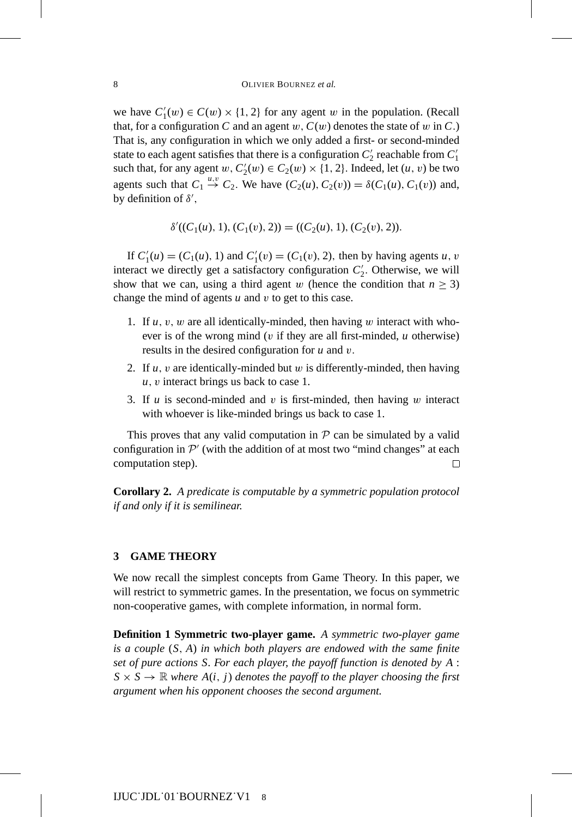we have  $C'_1(w) \in C(w) \times \{1, 2\}$  for any agent w in the population. (Recall that, for a configuration *C* and an agent  $w$ ,  $C(w)$  denotes the state of w in *C*.) That is, any configuration in which we only added a first- or second-minded state to each agent satisfies that there is a configuration  $C_2'$  reachable from  $C_1'$ such that, for any agent  $w, C'_2(w) \in C_2(w) \times \{1, 2\}$ . Indeed, let  $(u, v)$  be two agents such that  $C_1 \stackrel{u,v}{\rightarrow} C_2$ . We have  $(C_2(u), C_2(v)) = \delta(C_1(u), C_1(v))$  and, by definition of  $\delta'$ ,

$$
\delta'((C_1(u), 1), (C_1(v), 2)) = ((C_2(u), 1), (C_2(v), 2)).
$$

If  $C'_1(u) = (C_1(u), 1)$  and  $C'_1(v) = (C_1(v), 2)$ , then by having agents *u*, *v* interact we directly get a satisfactory configuration  $C_2'$ . Otherwise, we will show that we can, using a third agent w (hence the condition that  $n \geq 3$ ) change the mind of agents *u* and v to get to this case.

- 1. If  $u, v, w$  are all identically-minded, then having  $w$  interact with whoever is of the wrong mind ( $v$  if they are all first-minded,  $u$  otherwise) results in the desired configuration for *u* and v.
- 2. If *u*, v are identically-minded but w is differently-minded, then having *u*, v interact brings us back to case 1.
- 3. If *u* is second-minded and v is first-minded, then having w interact with whoever is like-minded brings us back to case 1.

This proves that any valid computation in  $P$  can be simulated by a valid configuration in  $\mathcal{P}'$  (with the addition of at most two "mind changes" at each computation step). computation step).

**Corollary 2.** *A predicate is computable by a symmetric population protocol if and only if it is semilinear.*

## **3 GAME THEORY**

We now recall the simplest concepts from Game Theory. In this paper, we will restrict to symmetric games. In the presentation, we focus on symmetric non-cooperative games, with complete information, in normal form.

**Definition 1 Symmetric two-player game.** *A symmetric two-player game is a couple* (*S*, *A*) *in which both players are endowed with the same finite set of pure actions S. For each player, the payoff function is denoted by A* :  $S \times S \rightarrow \mathbb{R}$  *where*  $A(i, j)$  *denotes the payoff to the player choosing the first argument when his opponent chooses the second argument.*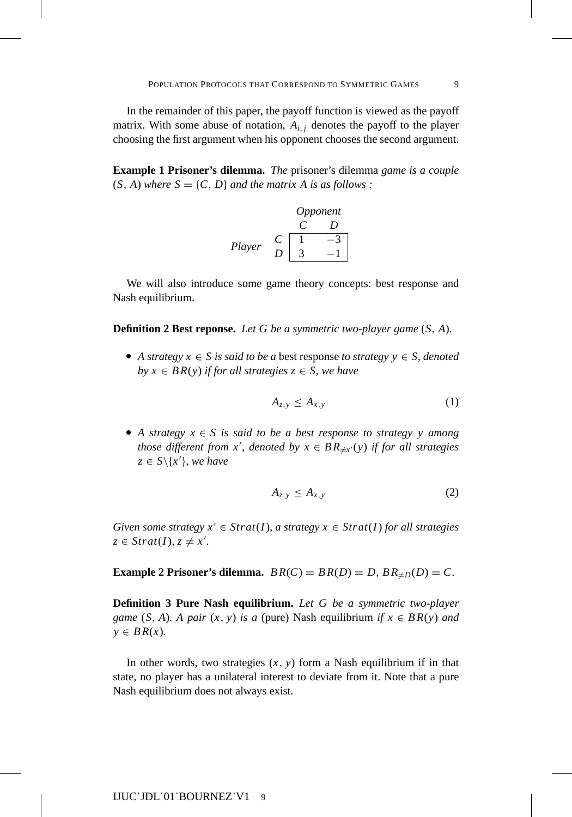In the remainder of this paper, the payoff function is viewed as the payoff matrix. With some abuse of notation,  $A_{i,j}$  denotes the payoff to the player choosing the first argument when his opponent chooses the second argument.

**Example 1 Prisoner's dilemma.** *The* prisoner's dilemma *game is a couple*  $(S, A)$  *where*  $S = \{C, D\}$  *and the matrix A is as follows :* 

| Opponent |     |                                                  |
|----------|-----|--------------------------------------------------|
| $C$      | $D$ |                                                  |
| Player   | $C$ | $\begin{bmatrix} 1 & -3 \\ 3 & -1 \end{bmatrix}$ |

We will also introduce some game theory concepts: best response and Nash equilibrium.

**Definition 2 Best reponse.** *Let G be a symmetric two-player game* (*S*, *A*)*.*

A strategy  $x \in S$  is said to be a best response to strategy  $y \in S$ , denoted *by*  $x \in BR(y)$  *if for all strategies*  $z \in S$ *, we have* 

$$
A_{z,y} \le A_{x,y} \tag{1}
$$

A strategy  $x \in S$  is said to be a best response to strategy y among *those different from x'*, *denoted by*  $x \in BR_{\neq x'}(y)$  *if for all strategies*  $z \in S \setminus \{x'\}$ *, we have* 

$$
A_{z,y} \le A_{x,y} \tag{2}
$$

*Given some strategy*  $x' \in \text{Strat}(I)$ *, a strategy*  $x \in \text{Strat}(I)$  *for all strategies*  $z \in \text{Strat}(I), z \neq x'.$ 

**Example 2 Prisoner's dilemma.**  $BR(C) = BR(D) = D$ ,  $BR_{\neq D}(D) = C$ .

**Definition 3 Pure Nash equilibrium.** *Let G be a symmetric two-player game* (*S*, *A*)*. A pair* (*x*, *y*) *is a* (pure) Nash equilibrium *if*  $x \in BR(y)$  *and*  $y \in BR(x)$ .

In other words, two strategies  $(x, y)$  form a Nash equilibrium if in that state, no player has a unilateral interest to deviate from it. Note that a pure Nash equilibrium does not always exist.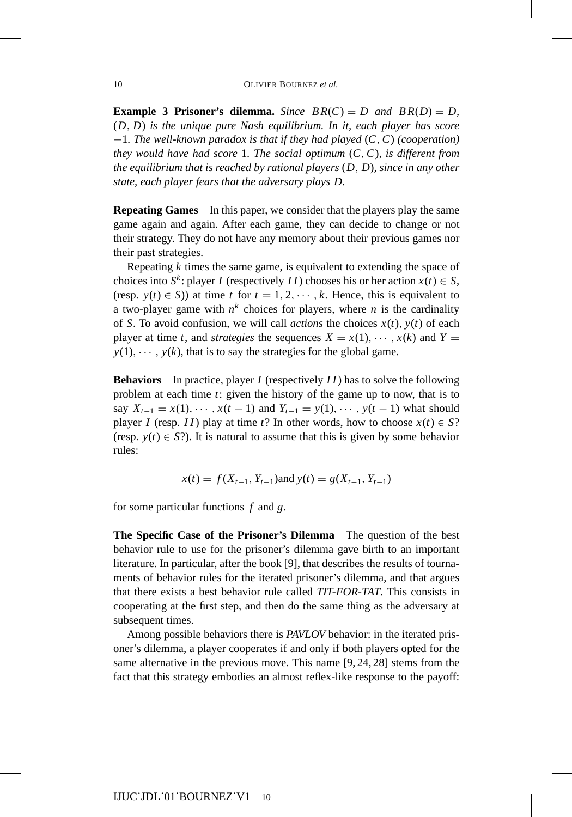**Example 3 Prisoner's dilemma.** *Since*  $BR(C) = D$  *and*  $BR(D) = D$ , (*D*, *D*) *is the unique pure Nash equilibrium. In it, each player has score* −1*. The well-known paradox is that if they had played* (*C*,*C*) *(cooperation) they would have had score* 1*. The social optimum* (*C*,*C*)*, is different from the equilibrium that is reached by rational players* (*D*, *D*)*, since in any other state, each player fears that the adversary plays D.*

**Repeating Games** In this paper, we consider that the players play the same game again and again. After each game, they can decide to change or not their strategy. They do not have any memory about their previous games nor their past strategies.

Repeating *k* times the same game, is equivalent to extending the space of choices into *S<sup>k</sup>*: player *I* (respectively *II*) chooses his or her action  $x(t) \in S$ , (resp.  $y(t) \in S$ )) at time *t* for  $t = 1, 2, \dots, k$ . Hence, this is equivalent to a two-player game with  $n^k$  choices for players, where *n* is the cardinality of *S*. To avoid confusion, we will call *actions* the choices  $x(t)$ ,  $y(t)$  of each player at time *t*, and *strategies* the sequences  $X = x(1), \dots, x(k)$  and  $Y =$  $y(1), \dots, y(k)$ , that is to say the strategies for the global game.

**Behaviors** In practice, player *I* (respectively *I I*) has to solve the following problem at each time *t*: given the history of the game up to now, that is to say  $X_{t-1} = x(1), \dots, x(t-1)$  and  $Y_{t-1} = y(1), \dots, y(t-1)$  what should player *I* (resp. *II*) play at time *t*? In other words, how to choose  $x(t) \in S$ ? (resp.  $y(t) \in S$ ?). It is natural to assume that this is given by some behavior rules:

$$
x(t) = f(X_{t-1}, Y_{t-1})
$$
 and  $y(t) = g(X_{t-1}, Y_{t-1})$ 

for some particular functions *f* and *g*.

**The Specific Case of the Prisoner's Dilemma** The question of the best behavior rule to use for the prisoner's dilemma gave birth to an important literature. In particular, after the book [9], that describes the results of tournaments of behavior rules for the iterated prisoner's dilemma, and that argues that there exists a best behavior rule called *TIT-FOR-TAT*. This consists in cooperating at the first step, and then do the same thing as the adversary at subsequent times.

Among possible behaviors there is *PAVLOV* behavior: in the iterated prisoner's dilemma, a player cooperates if and only if both players opted for the same alternative in the previous move. This name [9, 24, 28] stems from the fact that this strategy embodies an almost reflex-like response to the payoff: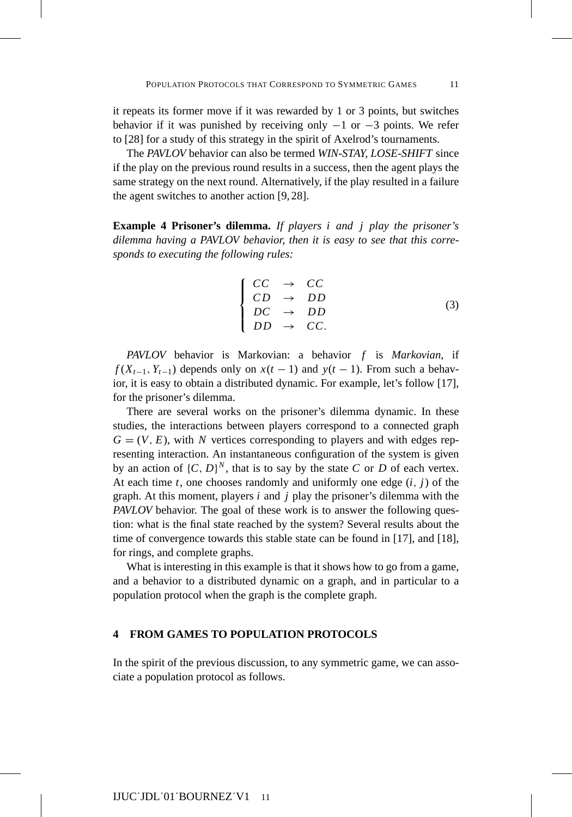it repeats its former move if it was rewarded by 1 or 3 points, but switches behavior if it was punished by receiving only  $-1$  or  $-3$  points. We refer to [28] for a study of this strategy in the spirit of Axelrod's tournaments.

The *PAVLOV* behavior can also be termed *WIN-STAY, LOSE-SHIFT* since if the play on the previous round results in a success, then the agent plays the same strategy on the next round. Alternatively, if the play resulted in a failure the agent switches to another action [9, 28].

**Example 4 Prisoner's dilemma.** *If players i and j play the prisoner's dilemma having a PAVLOV behavior, then it is easy to see that this corresponds to executing the following rules:*

$$
\begin{cases}\nCC & \to & CC \\
CD & \to & DD \\
DC & \to & DD \\
DD & \to & CC.\n\end{cases}
$$
\n(3)

*PAVLOV* behavior is Markovian: a behavior *f* is *Markovian*, if  $f(X_{t-1}, Y_{t-1})$  depends only on  $x(t-1)$  and  $y(t-1)$ . From such a behavior, it is easy to obtain a distributed dynamic. For example, let's follow [17], for the prisoner's dilemma.

There are several works on the prisoner's dilemma dynamic. In these studies, the interactions between players correspond to a connected graph  $G = (V, E)$ , with *N* vertices corresponding to players and with edges representing interaction. An instantaneous configuration of the system is given by an action of  $\{C, D\}^N$ , that is to say by the state *C* or *D* of each vertex. At each time  $t$ , one chooses randomly and uniformly one edge  $(i, j)$  of the graph. At this moment, players *i* and *j* play the prisoner's dilemma with the *PAVLOV* behavior. The goal of these work is to answer the following question: what is the final state reached by the system? Several results about the time of convergence towards this stable state can be found in [17], and [18], for rings, and complete graphs.

What is interesting in this example is that it shows how to go from a game, and a behavior to a distributed dynamic on a graph, and in particular to a population protocol when the graph is the complete graph.

## **4 FROM GAMES TO POPULATION PROTOCOLS**

In the spirit of the previous discussion, to any symmetric game, we can associate a population protocol as follows.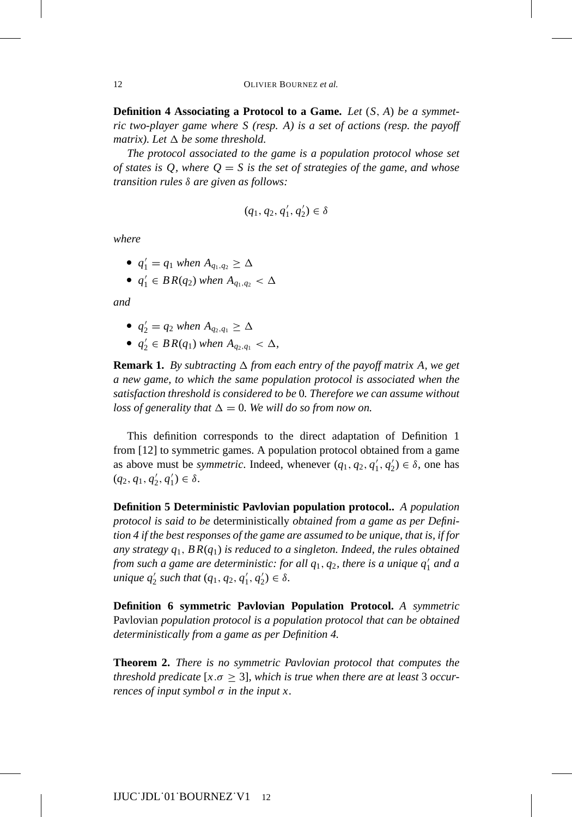**Definition 4 Associating a Protocol to a Game.** *Let* (*S*, *A*) *be a symmetric two-player game where S (resp. A) is a set of actions (resp. the payoff matrix). Let*  $\Delta$  *be some threshold.* 

*The protocol associated to the game is a population protocol whose set of states is Q, where Q* = *S is the set of strategies of the game, and whose transition rules* δ *are given as follows:*

$$
(q_1,q_2,q_1',q_2')\in\delta
$$

*where*

- $q'_1 = q_1$  when  $A_{q_1,q_2} \ge \Delta$
- $\bullet$  *q*<sup>1</sup><sub>1</sub> ∈ *BR*(*q*<sub>2</sub>) *when A*<sub>*q*<sub>1</sub>,*q*<sub>2</sub> < ∆</sub>

*and*

• 
$$
q'_2 = q_2
$$
 when  $A_{q_2,q_1} \ge \Delta$ 

 $q'_2 \in BR(q_1)$  when  $A_{q_2,q_1} < \Delta$ ,

**Remark 1.** By subtracting  $\Delta$  from each entry of the payoff matrix A, we get *a new game, to which the same population protocol is associated when the satisfaction threshold is considered to be* 0*. Therefore we can assume without loss of generality that*  $\Delta = 0$ *. We will do so from now on.* 

This definition corresponds to the direct adaptation of Definition 1 from [12] to symmetric games. A population protocol obtained from a game as above must be *symmetric*. Indeed, whenever  $(q_1, q_2, q'_1, q'_2) \in \delta$ , one has  $(q_2, q_1, q'_2, q'_1) \in \delta.$ 

**Definition 5 Deterministic Pavlovian population protocol..** *A population protocol is said to be* deterministically *obtained from a game as per Definition 4 if the best responses of the game are assumed to be unique, that is, if for any strategy q*1, *B R*(*q*1) *is reduced to a singleton. Indeed, the rules obtained from such a game are deterministic: for all q*1, *q*2*, there is a unique q* <sup>1</sup> *and a unique*  $q'_2$  *such that*  $(q_1, q_2, q'_1, q'_2) \in \delta$ *.* 

**Definition 6 symmetric Pavlovian Population Protocol.** *A symmetric* Pavlovian *population protocol is a population protocol that can be obtained deterministically from a game as per Definition 4.*

**Theorem 2.** *There is no symmetric Pavlovian protocol that computes the threshold predicate* [ $x.\sigma \geq 3$ ], which is true when there are at least 3 occur*rences of input symbol* σ *in the input x.*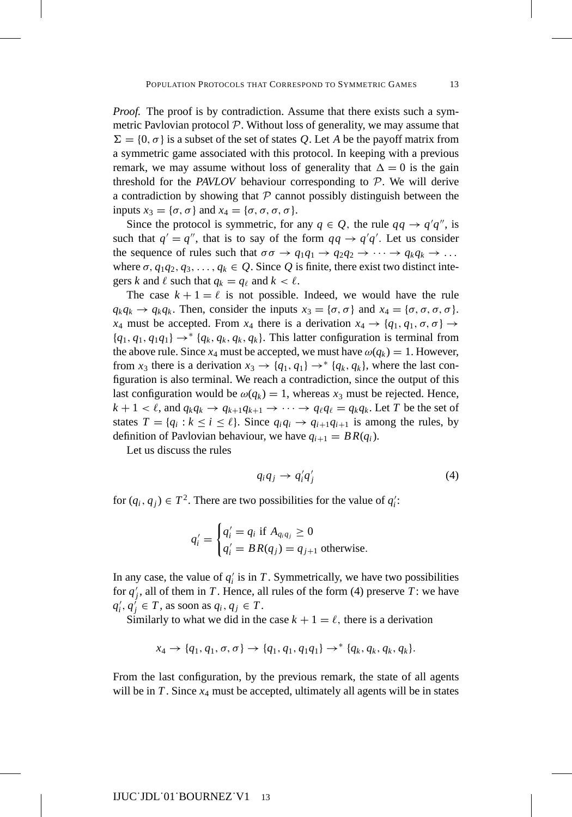*Proof.* The proof is by contradiction. Assume that there exists such a symmetric Pavlovian protocol  $P$ . Without loss of generality, we may assume that  $\Sigma = \{0, \sigma\}$  is a subset of the set of states Q. Let A be the payoff matrix from a symmetric game associated with this protocol. In keeping with a previous remark, we may assume without loss of generality that  $\Delta = 0$  is the gain threshold for the *PAVLOV* behaviour corresponding to P. We will derive a contradiction by showing that  $P$  cannot possibly distinguish between the inputs  $x_3 = {\sigma, \sigma}$  and  $x_4 = {\sigma, \sigma, \sigma, \sigma}$ .

Since the protocol is symmetric, for any  $q \in Q$ , the rule  $qq \rightarrow q'q''$ , is such that  $q' = q''$ , that is to say of the form  $qq \rightarrow q'q'$ . Let us consider the sequence of rules such that  $\sigma \sigma \rightarrow q_1 q_1 \rightarrow q_2 q_2 \rightarrow \cdots \rightarrow q_k q_k \rightarrow \cdots$ where  $\sigma$ ,  $q_1q_2$ ,  $q_3$ ,...,  $q_k \in Q$ . Since Q is finite, there exist two distinct integers *k* and  $\ell$  such that  $q_k = q_\ell$  and  $k < \ell$ .

The case  $k + 1 = \ell$  is not possible. Indeed, we would have the rule  $q_kq_k \to q_kq_k$ . Then, consider the inputs  $x_3 = {\sigma, \sigma}$  and  $x_4 = {\sigma, \sigma, \sigma, \sigma}$ . *x*<sub>4</sub> must be accepted. From *x*<sub>4</sub> there is a derivation  $x_4 \rightarrow \{q_1, q_1, \sigma, \sigma\} \rightarrow$  ${q_1, q_1, q_1q_1} \rightarrow * {q_k, q_k, q_k}$ . This latter configuration is terminal from the above rule. Since  $x_4$  must be accepted, we must have  $\omega(q_k) = 1$ . However, from  $x_3$  there is a derivation  $x_3 \rightarrow \{q_1, q_1\} \rightarrow^* \{q_k, q_k\}$ , where the last configuration is also terminal. We reach a contradiction, since the output of this last configuration would be  $\omega(q_k) = 1$ , whereas  $x_3$  must be rejected. Hence,  $k + 1 < \ell$ , and  $q_k q_k \to q_{k+1} q_{k+1} \to \cdots \to q_\ell q_\ell = q_k q_k$ . Let *T* be the set of states  $T = \{q_i : k \le i \le \ell\}$ . Since  $q_i q_i \rightarrow q_{i+1} q_{i+1}$  is among the rules, by definition of Pavlovian behaviour, we have  $q_{i+1} = BR(q_i)$ .

Let us discuss the rules

$$
q_i q_j \to q'_i q'_j \tag{4}
$$

for  $(q_i, q_j) \in T^2$ . There are two possibilities for the value of  $q'_i$ :

$$
q'_{i} = \begin{cases} q'_{i} = q_{i} \text{ if } A_{q_{i}q_{j}} \geq 0\\ q'_{i} = BR(q_{j}) = q_{j+1} \text{ otherwise.} \end{cases}
$$

In any case, the value of  $q_i$  is in  $T$ . Symmetrically, we have two possibilities for  $q'_j$ , all of them in *T*. Hence, all rules of the form (4) preserve *T*: we have  $q'_{i}, q'_{j} \in T$ , as soon as  $q_{i}, q_{j} \in T$ .

Similarly to what we did in the case  $k + 1 = \ell$ , there is a derivation

$$
x_4 \to \{q_1, q_1, \sigma, \sigma\} \to \{q_1, q_1, q_1q_1\} \to^* \{q_k, q_k, q_k, q_k\}.
$$

From the last configuration, by the previous remark, the state of all agents will be in  $T$ . Since  $x_4$  must be accepted, ultimately all agents will be in states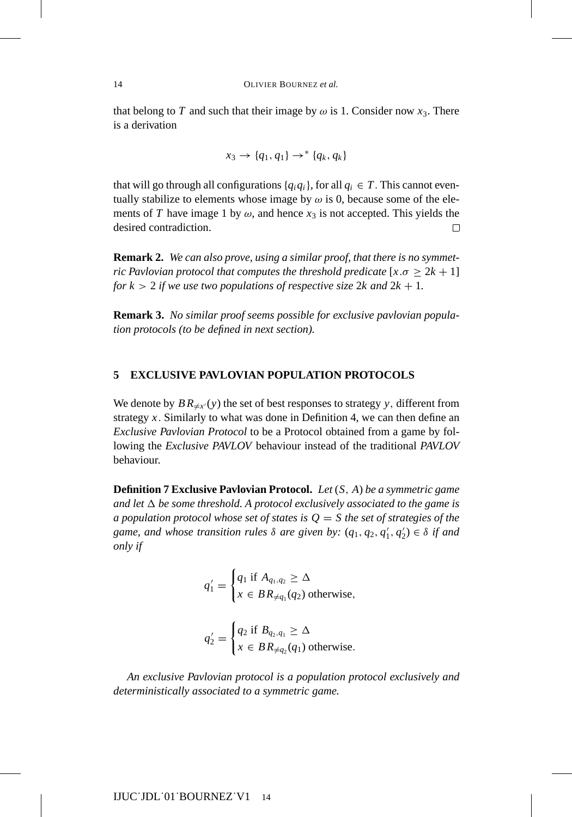that belong to *T* and such that their image by  $\omega$  is 1. Consider now  $x_3$ . There is a derivation

$$
x_3 \rightarrow \{q_1, q_1\} \rightarrow^* \{q_k, q_k\}
$$

that will go through all configurations  $\{q_i q_i\}$ , for all  $q_i \in T$ . This cannot eventually stabilize to elements whose image by  $\omega$  is 0, because some of the elements of *T* have image 1 by  $\omega$ , and hence  $x_3$  is not accepted. This yields the desired contradiction.  $\Box$ 

**Remark 2.** *We can also prove, using a similar proof, that there is no symmetric Pavlovian protocol that computes the threshold predicate*  $[x.\sigma \geq 2k+1]$ *for*  $k > 2$  *if we use two populations of respective size* 2*k and*  $2k + 1$ *.* 

**Remark 3.** *No similar proof seems possible for exclusive pavlovian population protocols (to be defined in next section).*

## **5 EXCLUSIVE PAVLOVIAN POPULATION PROTOCOLS**

We denote by  $BR_{\neq x'}(y)$  the set of best responses to strategy y, different from strategy  $x$ . Similarly to what was done in Definition 4, we can then define an *Exclusive Pavlovian Protocol* to be a Protocol obtained from a game by following the *Exclusive PAVLOV* behaviour instead of the traditional *PAVLOV* behaviour.

**Definition 7 Exclusive Pavlovian Protocol.** *Let* (*S*, *A*) *be a symmetric game and let*  $\Delta$  *be some threshold. A protocol exclusively associated to the game is a population protocol whose set of states is*  $Q = S$  the set of strategies of the *game, and whose transition rules*  $\delta$  *are given by:*  $(q_1, q_2, q'_1, q'_2) \in \delta$  *if and only if*

$$
q'_1 = \begin{cases} q_1 \text{ if } A_{q_1,q_2} \geq \Delta \\ x \in BR_{\neq q_1}(q_2) \text{ otherwise,} \end{cases}
$$

$$
q'_2 = \begin{cases} q_2 \text{ if } B_{q_2,q_1} \geq \Delta \\ x \in BR_{\neq q_2}(q_1) \text{ otherwise.} \end{cases}
$$

*An exclusive Pavlovian protocol is a population protocol exclusively and deterministically associated to a symmetric game.*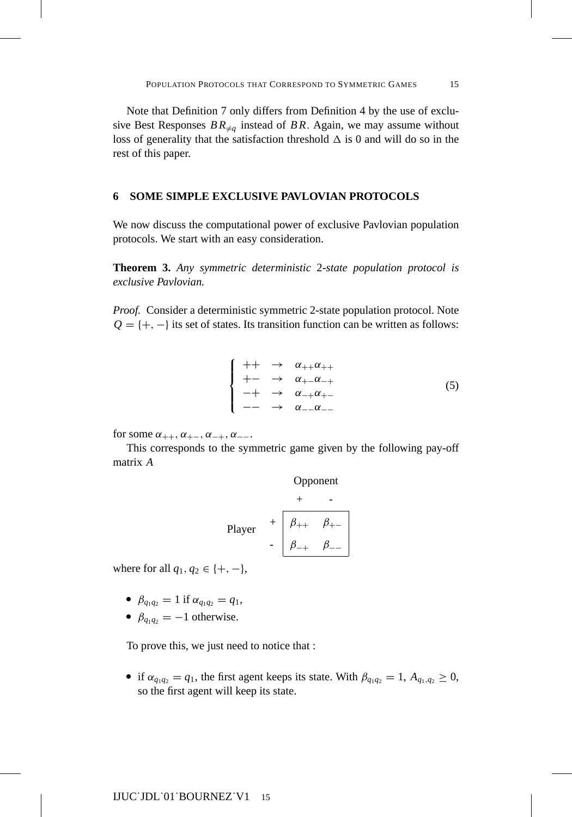Note that Definition 7 only differs from Definition 4 by the use of exclusive Best Responses  $BR_{\neq q}$  instead of BR. Again, we may assume without loss of generality that the satisfaction threshold  $\Delta$  is 0 and will do so in the rest of this paper.

## **6 SOME SIMPLE EXCLUSIVE PAVLOVIAN PROTOCOLS**

We now discuss the computational power of exclusive Pavlovian population protocols. We start with an easy consideration.

**Theorem 3.** *Any symmetric deterministic* 2*-state population protocol is exclusive Pavlovian.*

*Proof.* Consider a deterministic symmetric 2-state population protocol. Note  $Q = \{+, -\}$  its set of states. Its transition function can be written as follows:

$$
\begin{cases}\n++ & \to \alpha_{++}\alpha_{++} \\
+- & \to \alpha_{+-}\alpha_{-+} \\
-+ & \to \alpha_{-+}\alpha_{+-} \\
-- & \to \alpha_{--}\alpha_{--}\n\end{cases} \tag{5}
$$

for some  $\alpha_{++}, \alpha_{+-}, \alpha_{-+}, \alpha_{--}$ .

This corresponds to the symmetric game given by the following pay-off matrix *A*

Opponent

\n
$$
+ \quad -
$$
\nPlayer

\n
$$
+ \quad \beta_{++} \quad \beta_{+-}
$$
\n
$$
- \quad \beta_{-+} \quad \beta_{--}
$$

where for all  $q_1, q_2 \in \{+, -\},\$ 

- $\beta_{q_1q_2} = 1$  if  $\alpha_{q_1q_2} = q_1$ ,
- $\beta_{q_1q_2} = -1$  otherwise.

To prove this, we just need to notice that :

if  $\alpha_{q_1q_2} = q_1$ , the first agent keeps its state. With  $\beta_{q_1q_2} = 1$ ,  $A_{q_1,q_2} \ge 0$ , so the first agent will keep its state.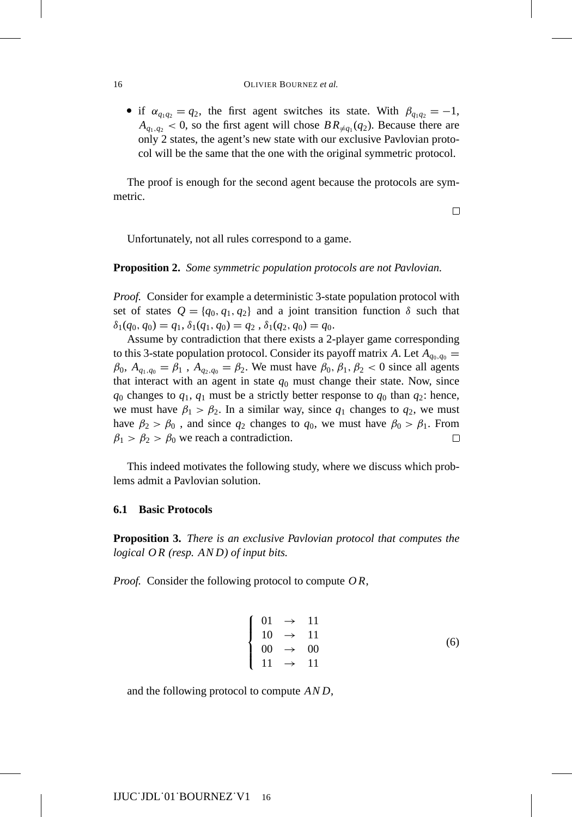if  $\alpha_{q_1q_2} = q_2$ , the first agent switches its state. With  $\beta_{q_1q_2} = -1$ ,  $A_{q_1,q_2}$  < 0, so the first agent will chose  $BR_{\neq q_1}(q_2)$ . Because there are only 2 states, the agent's new state with our exclusive Pavlovian protocol will be the same that the one with the original symmetric protocol.

The proof is enough for the second agent because the protocols are symmetric.

 $\Box$ 

Unfortunately, not all rules correspond to a game.

**Proposition 2.** *Some symmetric population protocols are not Pavlovian.*

*Proof.* Consider for example a deterministic 3-state population protocol with set of states  $Q = \{q_0, q_1, q_2\}$  and a joint transition function  $\delta$  such that  $\delta_1(q_0, q_0) = q_1, \delta_1(q_1, q_0) = q_2, \delta_1(q_2, q_0) = q_0.$ 

Assume by contradiction that there exists a 2-player game corresponding to this 3-state population protocol. Consider its payoff matrix *A*. Let  $A_{q_0,q_0} =$  $\beta_0$ ,  $A_{q_1,q_0} = \beta_1$ ,  $A_{q_2,q_0} = \beta_2$ . We must have  $\beta_0$ ,  $\beta_1$ ,  $\beta_2 < 0$  since all agents that interact with an agent in state  $q_0$  must change their state. Now, since  $q_0$  changes to  $q_1$ ,  $q_1$  must be a strictly better response to  $q_0$  than  $q_2$ : hence, we must have  $\beta_1 > \beta_2$ . In a similar way, since  $q_1$  changes to  $q_2$ , we must have  $\beta_2 > \beta_0$ , and since  $q_2$  changes to  $q_0$ , we must have  $\beta_0 > \beta_1$ . From  $\beta_1 > \beta_2 > \beta_0$  we reach a contradiction.  $\Box$ 

This indeed motivates the following study, where we discuss which problems admit a Pavlovian solution.

## **6.1 Basic Protocols**

**Proposition 3.** *There is an exclusive Pavlovian protocol that computes the logical O R (resp. AN D) of input bits.*

*Proof.* Consider the following protocol to compute *O R*,

$$
\begin{cases}\n01 \to 11 \\
10 \to 11 \\
00 \to 00 \\
11 \to 11\n\end{cases}
$$
\n(6)

and the following protocol to compute *AND*,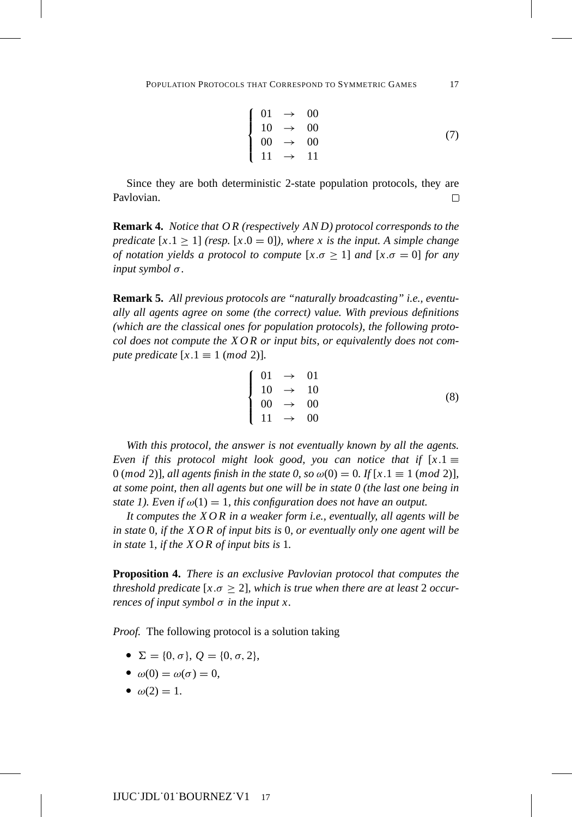$$
\begin{cases}\n01 \to 00 \\
10 \to 00 \\
00 \to 00 \\
11 \to 11\n\end{cases}
$$
\n(7)

Since they are both deterministic 2-state population protocols, they are Pavlovian.  $\Box$ 

**Remark 4.** *Notice that O R (respectively AN D) protocol corresponds to the predicate*  $[x.1 > 1]$  *(resp.*  $[x.0 = 0]$ *), where* x *is the input.* A *simple change of notation yields a protocol to compute*  $[x.\sigma \ge 1]$  *and*  $[x.\sigma = 0]$  *for any input symbol* σ*.*

**Remark 5.** *All previous protocols are "naturally broadcasting" i.e., eventually all agents agree on some (the correct) value. With previous definitions (which are the classical ones for population protocols), the following protocol does not compute the X O R or input bits, or equivalently does not compute predicate*  $[x.1 \equiv 1 \pmod{2}$ *.* 

$$
\begin{cases}\n01 \to 01 \\
10 \to 10 \\
00 \to 00 \\
11 \to 00\n\end{cases}
$$
\n(8)

*With this protocol, the answer is not eventually known by all the agents. Even if this protocol might look good, you can notice that if*  $[x.1 \equiv$ 0 (*mod* 2)], all agents finish in the state 0, so  $\omega(0) = 0$ . If [x, 1  $\equiv 1 \pmod{2}$ ], *at some point, then all agents but one will be in state 0 (the last one being in state 1). Even if*  $\omega(1) = 1$ *, this configuration does not have an output.* 

*It computes the X O R in a weaker form i.e., eventually, all agents will be in state* 0*, if the X O R of input bits is* 0*, or eventually only one agent will be in state* 1*, if the X O R of input bits is* 1*.*

**Proposition 4.** *There is an exclusive Pavlovian protocol that computes the threshold predicate* [ $x.\sigma \geq 2$ ], which is true when there are at least 2 occur*rences of input symbol* σ *in the input x.*

*Proof.* The following protocol is a solution taking

- $\Sigma = \{0, \sigma\}, Q = \{0, \sigma, 2\},\$
- $\omega(0) = \omega(\sigma) = 0,$
- $\omega(2) = 1.$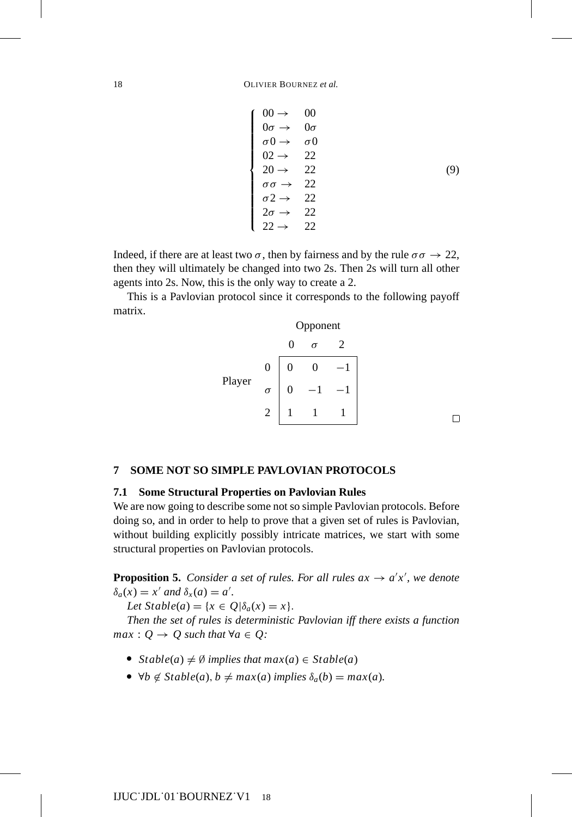$\sqrt{ }$ 

 $<sub>1</sub>$ </sub>

 $<sub>1</sub>$ </sub>

$$
00 \rightarrow 00
$$
  
\n
$$
0\sigma \rightarrow 0\sigma
$$
  
\n
$$
\sigma 0 \rightarrow \sigma 0
$$
  
\n
$$
02 \rightarrow 22
$$
  
\n
$$
20 \rightarrow 22
$$
  
\n
$$
\sigma \sigma \rightarrow 22
$$
  
\n
$$
2\sigma \rightarrow 22
$$
  
\n
$$
2\sigma \rightarrow 22
$$
  
\n
$$
22 \rightarrow 22
$$
  
\n(9)

Indeed, if there are at least two  $\sigma$ , then by fairness and by the rule  $\sigma \sigma \rightarrow 22$ , then they will ultimately be changed into two 2s. Then 2s will turn all other agents into 2s. Now, this is the only way to create a 2.

This is a Pavlovian protocol since it corresponds to the following payoff matrix.

|        |                | Opponent       |   |   |
|--------|----------------|----------------|---|---|
|        |                | 0              | σ | 2 |
| Player | $\overline{0}$ | 0              | 0 |   |
|        | $\sigma$       | $\overline{0}$ |   |   |
|        | 2              |                |   |   |

 $\Box$ 

## **7 SOME NOT SO SIMPLE PAVLOVIAN PROTOCOLS**

## **7.1 Some Structural Properties on Pavlovian Rules**

We are now going to describe some not so simple Pavlovian protocols. Before doing so, and in order to help to prove that a given set of rules is Pavlovian, without building explicitly possibly intricate matrices, we start with some structural properties on Pavlovian protocols.

**Proposition 5.** *Consider a set of rules. For all rules*  $ax \rightarrow a'x'$ *, we denote*  $\delta_a(x) = x'$  and  $\delta_x(a) = a'$ .

*Let*  $Stable(a) = \{x \in Q | \delta_a(x) = x\}.$ 

*Then the set of rules is deterministic Pavlovian iff there exists a function max* :  $Q \rightarrow Q$  *such that*  $\forall a \in Q$ *:* 

- $\blacktriangleright$  *Stable*(*a*)  $\neq \emptyset$  *implies that max*(*a*)  $\in$  *Stable*(*a*)
- $\forall b \notin Stable(a), b \neq max(a) \text{ implies } \delta_a(b) = max(a).$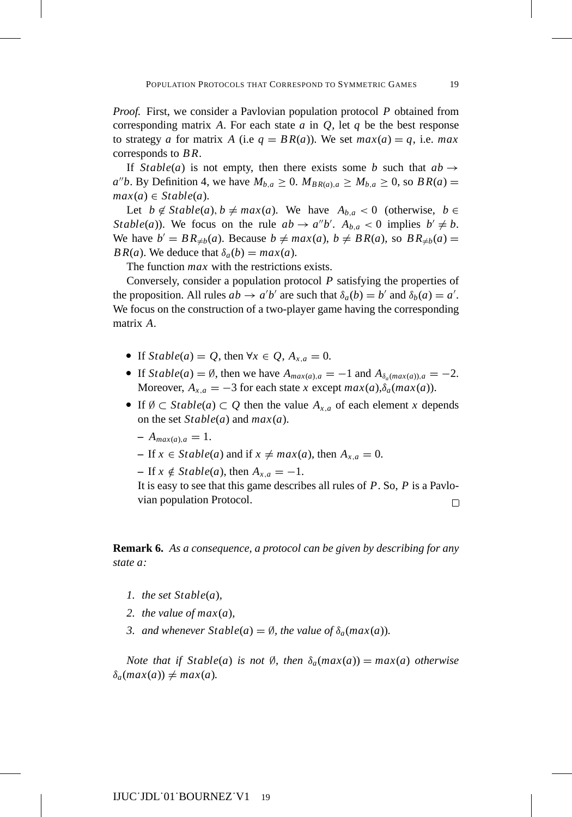*Proof.* First, we consider a Pavlovian population protocol *P* obtained from corresponding matrix A. For each state  $a$  in  $Q$ , let  $q$  be the best response to strategy *a* for matrix *A* (i.e  $q = BR(a)$ ). We set  $max(a) = q$ , i.e. max corresponds to *B R*.

If *Stable*(*a*) is not empty, then there exists some *b* such that  $ab \rightarrow$  $a''b$ . By Definition 4, we have  $M_{b,a} \geq 0$ .  $M_{BR(a),a} \geq M_{b,a} \geq 0$ , so  $BR(a) =$  $max(a) \in Stable(a).$ 

Let  $b \notin Stable(a), b \neq max(a)$ . We have  $A_{b,a} < 0$  (otherwise,  $b \in$ *Stable*(*a*)). We focus on the rule  $ab \rightarrow a''b'$ .  $A_{b,a} < 0$  implies  $b' \neq b$ . We have  $b' = BR_{\neq b}(a)$ . Because  $b \neq max(a), b \neq BR(a)$ , so  $BR_{\neq b}(a)$ *BR(a)*. We deduce that  $\delta_a(b) = max(a)$ .

The function *max* with the restrictions exists.

Conversely, consider a population protocol *P* satisfying the properties of the proposition. All rules  $ab \to a'b'$  are such that  $\delta_a(b) = b'$  and  $\delta_b(a) = a'$ . We focus on the construction of a two-player game having the corresponding matrix *A*.

- If  $Stable(a) = Q$ , then  $\forall x \in Q$ ,  $A_{x,a} = 0$ .
- If  $Stable(a) = \emptyset$ , then we have  $A_{max(a),a} = -1$  and  $A_{\delta_a(max(a)),a} = -2$ . Moreover,  $A_{x,a} = -3$  for each state *x* except  $max(a), \delta_a(max(a))$ .
- If  $\emptyset \subset$  *Stable*(*a*)  $\subset Q$  then the value  $A_{x,a}$  of each element *x* depends on the set *Stable*(*a*) and *max*(*a*).
	- $A_{max(a),a} = 1.$
	- $\overline{P}$  − If *x* ∈ *Stable*(*a*) and if *x*  $\neq max(a)$ , then  $A_{x,a} = 0$ .

 $-$  If  $x \notin$  *Stable*(*a*), then  $A_{x,a} = -1$ .

It is easy to see that this game describes all rules of *P*. So, *P* is a Pavlovian population Protocol.  $\Box$ 

**Remark 6.** *As a consequence, a protocol can be given by describing for any state a:*

- *1. the set Stable*(*a*)*,*
- 2. the value of  $max(a)$ ,
- *3.* and whenever  $Stable(a) = \emptyset$ , the value of  $\delta_a(max(a))$ .

*Note that if Stable*(*a*) *is not*  $\emptyset$ *, then*  $\delta_a$ (*max*(*a*)) = *max*(*a*) *otherwise*  $\delta_a(max(a)) \neq max(a)$ .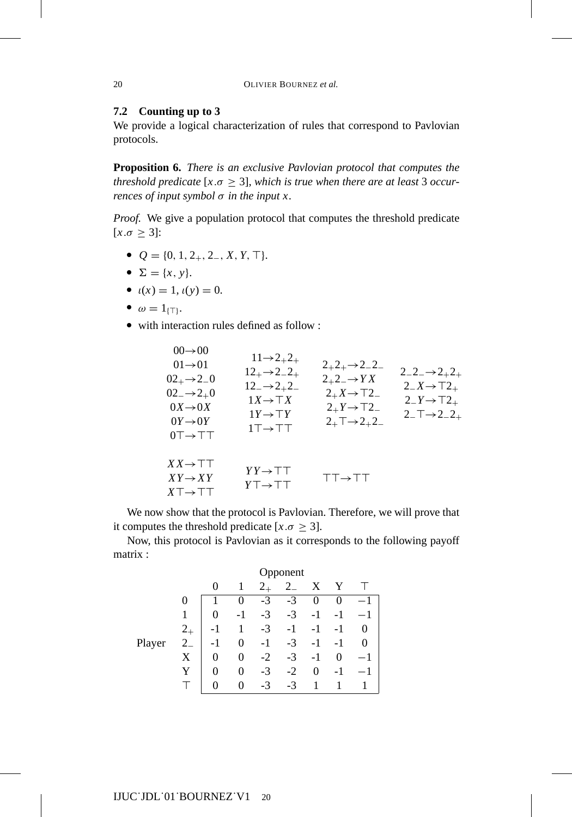## **7.2 Counting up to 3**

We provide a logical characterization of rules that correspond to Pavlovian protocols.

**Proposition 6.** *There is an exclusive Pavlovian protocol that computes the threshold predicate* [ $x.\sigma \geq 3$ ], which is true when there are at least 3 occur*rences of input symbol* σ *in the input x.*

*Proof.* We give a population protocol that computes the threshold predicate  $[x.\sigma \geq 3]$ :

 $Q = \{0, 1, 2_+, 2_-, X, Y, \top\}.$ 

 $0<sup>0</sup>$ 

- $\sum = \{x, y\}.$
- $\iota(x) = 1, \iota(y) = 0.$
- $\omega = 1_{\{\top\}}.$
- with interaction rules defined as follow :

| ∪∪→∪∪<br>$01\rightarrow 01$<br>$02_{+} \rightarrow 2_{-}0$<br>$02 \rightarrow 2+0$<br>$0X \rightarrow 0X$<br>$0Y \rightarrow 0Y$<br>$0T \rightarrow T T$ | $11\rightarrow 2_{+}2_{+}$<br>$12_{+} \rightarrow 2-2_{+}$<br>$12 \rightarrow 2 + 2$<br>$1X \rightarrow \top X$<br>$1Y \rightarrow \top Y$<br>$1T \rightarrow T T$ | $2+2+3-2-2$<br>$2+2-7+YX$<br>$2+X \rightarrow T2-$<br>$2 + Y \rightarrow T2$<br>$2_{+}\top\rightarrow2_{+}2_{-}$ | $2 - 2 - 2 + 2 +$<br>$2 - X \rightarrow 72 +$<br>$2 - Y \rightarrow T2_+$<br>$2-\mathsf{T}\rightarrow 2-2_+$ |
|----------------------------------------------------------------------------------------------------------------------------------------------------------|--------------------------------------------------------------------------------------------------------------------------------------------------------------------|------------------------------------------------------------------------------------------------------------------|--------------------------------------------------------------------------------------------------------------|
| $XX \rightarrow \top \top$<br>$XY \rightarrow XY$<br>$X\top \rightarrow \top \top$                                                                       | $YY \rightarrow \top \top$<br>$Y \top \rightarrow \top \top$                                                                                                       | <b>TT→TT</b>                                                                                                     |                                                                                                              |

We now show that the protocol is Pavlovian. Therefore, we will prove that it computes the threshold predicate  $[x.\sigma \geq 3]$ .

Now, this protocol is Pavlovian as it corresponds to the following payoff matrix :

|        |                  | pponent           |                   |         |      |          |    |  |
|--------|------------------|-------------------|-------------------|---------|------|----------|----|--|
|        |                  | 0                 | 1                 | $2_{+}$ |      | x        |    |  |
|        | 0                |                   |                   | $-3$    | $-3$ | $\theta$ |    |  |
|        | 1                |                   | $-1$              | $-3$    | $-3$ | $-1$     |    |  |
|        | $2_{+}$          | -1                | 1                 | $-3$    | $-1$ | -1       |    |  |
| Player | $2_{-}$          | ÷                 | 0                 | $-1$    | $-3$ | -1       | -1 |  |
|        | $\boldsymbol{X}$ | 0                 | 0                 | $-2$    | $-3$ | $-1$     | 0  |  |
|        |                  | 0                 | 0                 | $-3$    | $-2$ | 0        |    |  |
|        |                  | $\mathbf{\Omega}$ | $\mathbf{\Omega}$ | $-3$    | $-3$ |          |    |  |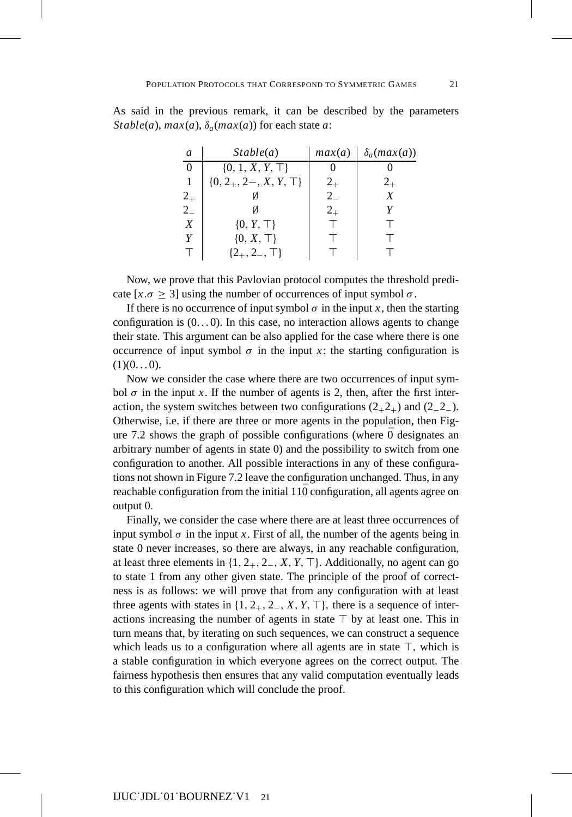As said in the previous remark, it can be described by the parameters *Stable*(*a*),  $max(a)$ ,  $\delta_a(max(a))$  for each state *a*:

| $\mathfrak{a}$   | Stable(a)                    | max(a)  | $\delta_a(max(a))$ |
|------------------|------------------------------|---------|--------------------|
| $\Omega$         | $\{0, 1, X, Y, \top\}$       |         |                    |
|                  | $\{0, 2_+, 2-, X, Y, \top\}$ | $2_{+}$ | $2_{+}$            |
| $2_{+}$          |                              | $2_{-}$ | X                  |
| $2_{-}$          |                              | $2_{+}$ |                    |
| $\boldsymbol{X}$ | $\{0, Y, \top\}$             |         |                    |
| Y                | $\{0, X, \top\}$             |         |                    |
|                  | $\{2_+, 2_-, \top\}$         |         |                    |

Now, we prove that this Pavlovian protocol computes the threshold predicate  $[x.\sigma \ge 3]$  using the number of occurrences of input symbol  $\sigma$ .

If there is no occurrence of input symbol  $\sigma$  in the input *x*, then the starting configuration is  $(0, 0)$ . In this case, no interaction allows agents to change their state. This argument can be also applied for the case where there is one occurrence of input symbol  $\sigma$  in the input *x*: the starting configuration is  $(1)(0...0).$ 

Now we consider the case where there are two occurrences of input symbol  $\sigma$  in the input *x*. If the number of agents is 2, then, after the first interaction, the system switches between two configurations  $(2_{+}2_{+})$  and  $(2_{-}2_{-})$ . Otherwise, i.e. if there are three or more agents in the population, then Figure 7.2 shows the graph of possible configurations (where  $\bar{0}$  designates an arbitrary number of agents in state 0) and the possibility to switch from one configuration to another. All possible interactions in any of these configurations not shown in Figure 7.2 leave the configuration unchanged. Thus, in any reachable configuration from the initial  $11\overline{0}$  configuration, all agents agree on output 0.

Finally, we consider the case where there are at least three occurrences of input symbol  $\sigma$  in the input *x*. First of all, the number of the agents being in state 0 never increases, so there are always, in any reachable configuration, at least three elements in  $\{1, 2_+, 2_-, X, Y, \top\}$ . Additionally, no agent can go to state 1 from any other given state. The principle of the proof of correctness is as follows: we will prove that from any configuration with at least three agents with states in  $\{1, 2_+, 2_-, X, Y, \top\}$ , there is a sequence of interactions increasing the number of agents in state  $\top$  by at least one. This in turn means that, by iterating on such sequences, we can construct a sequence which leads us to a configuration where all agents are in state  $\top$ , which is a stable configuration in which everyone agrees on the correct output. The fairness hypothesis then ensures that any valid computation eventually leads to this configuration which will conclude the proof.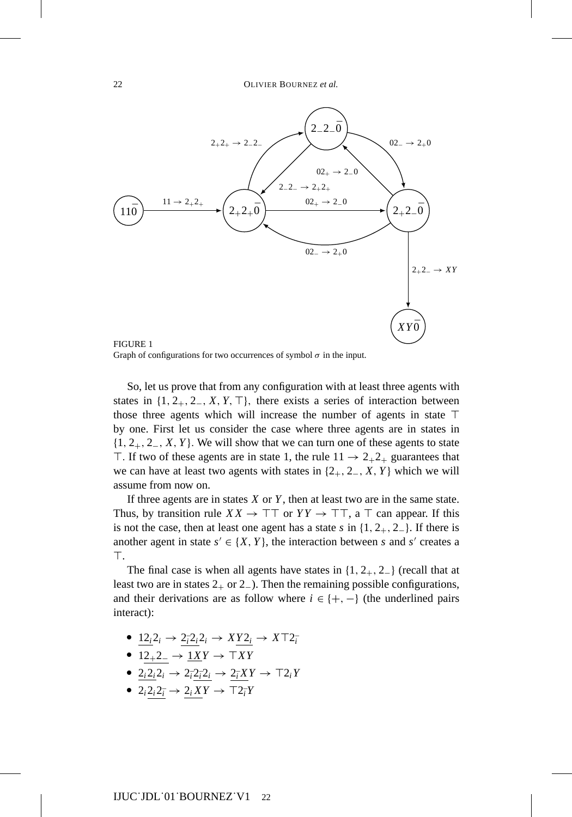

Graph of configurations for two occurrences of symbol  $\sigma$  in the input.

So, let us prove that from any configuration with at least three agents with states in  $\{1, 2_+, 2_-, X, Y, \top\}$ , there exists a series of interaction between those three agents which will increase the number of agents in state  $\top$ by one. First let us consider the case where three agents are in states in {1, 2+, 2−, *X*, *Y* }. We will show that we can turn one of these agents to state T. If two of these agents are in state 1, the rule  $11 \rightarrow 2_{+}2_{+}$  guarantees that we can have at least two agents with states in  $\{2_+, 2_-, X, Y\}$  which we will assume from now on.

If three agents are in states *X* or *Y* , then at least two are in the same state. Thus, by transition rule  $XX \to \top \top$  or  $YY \to \top \top$ , a  $\top$  can appear. If this is not the case, then at least one agent has a state *s* in {1, 2+, 2−}. If there is another agent in state  $s' \in \{X, Y\}$ , the interaction between *s* and *s'* creates a Т.

The final case is when all agents have states in  $\{1, 2_+, 2_-\}$  (recall that at least two are in states  $2_+$  or  $2_-$ ). Then the remaining possible configurations, and their derivations are as follow where  $i \in \{+, -\}$  (the underlined pairs interact):

- $\longrightarrow$   $\frac{12_i2_i}{\longrightarrow}$   $\frac{2_i2_i2_i}{\longrightarrow}$   $\frac{XY2_i}{\longrightarrow}$   $XT2_i$
- $\rightarrow$  12<sub>+</sub>2<sub>−</sub> → <u>1*XY*</u> →  $\top XY$
- $\longrightarrow$   $2_i 2_i 2_i \rightarrow 2_i 2_i 2_i \rightarrow 2_i XY \rightarrow \top 2_i Y$
- $\rightarrow 2_i 2_i 2_{\bar{i}} \rightarrow 2_i X Y \rightarrow \top 2_{\bar{i}} Y$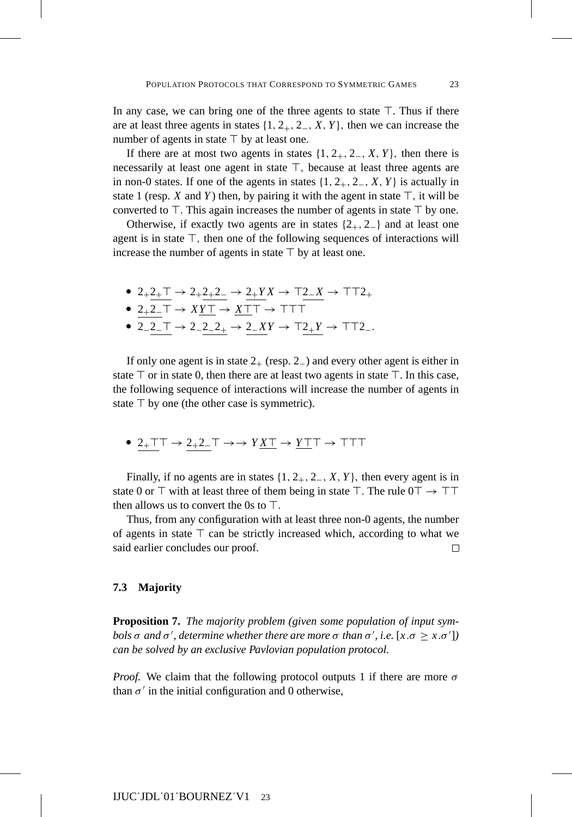In any case, we can bring one of the three agents to state  $\top$ . Thus if there are at least three agents in states  $\{1, 2_+, 2_-, X, Y\}$ , then we can increase the number of agents in state  $\top$  by at least one.

If there are at most two agents in states  $\{1, 2_+, 2_-, X, Y\}$ , then there is necessarily at least one agent in state  $\top$ , because at least three agents are in non-0 states. If one of the agents in states  $\{1, 2_+, 2_-, X, Y\}$  is actually in state 1 (resp. *X* and *Y*) then, by pairing it with the agent in state  $\top$ , it will be converted to  $\top$ . This again increases the number of agents in state  $\top$  by one.

Otherwise, if exactly two agents are in states  $\{2_+, 2_-\}$  and at least one agent is in state  $\top$ , then one of the following sequences of interactions will increase the number of agents in state  $\top$  by at least one.

\n- \n
$$
2 + 2 + \overline{1} \rightarrow 2 + 2 + 2 - \rightarrow 2 + YX \rightarrow \overline{12} - X \rightarrow \overline{17} + 2 + 2 + 2 - \overline{1} \rightarrow XY\overline{1} \rightarrow \overline{17} + \overline{17} + \overline{17}
$$
\n
\n

- 
- **2**<sub>−</sub>2<sup>−</sup>  $\rightarrow$  2<sup>−</sup>2<sup>−</sup><sub>2</sub><sup>−</sup>  $\rightarrow$  2<sup>−</sup>*XY*  $\rightarrow$   $\perp$ <sup>2</sup><sup>−</sup>*x*<sup>−</sup>  $\rightarrow$   $\perp$ <sup>−</sup>*T*<sub>−</sub><sup>−</sup>

If only one agent is in state  $2_{+}$  (resp. 2<sub>−</sub>) and every other agent is either in state  $\top$  or in state 0, then there are at least two agents in state  $\top$ . In this case, the following sequence of interactions will increase the number of agents in state  $\top$  by one (the other case is symmetric).

**2**<sub>+</sub>TT → 2<sub>+</sub>2<sub>-</sub>T → → *Y*<u>XT</u> → <u>*Y*T</u>T → TTT

Finally, if no agents are in states  $\{1, 2_+, 2_-, X, Y\}$ , then every agent is in state 0 or  $\top$  with at least three of them being in state  $\top$ . The rule  $0\top \rightarrow \top \top$ then allows us to convert the 0s to  $\top$ .

Thus, from any configuration with at least three non-0 agents, the number of agents in state  $\top$  can be strictly increased which, according to what we said earlier concludes our proof.  $\Box$ 

## **7.3 Majority**

**Proposition 7.** *The majority problem (given some population of input symbols*  $\sigma$  *and*  $\sigma'$ *, determine whether there are more*  $\sigma$  *than*  $\sigma'$ *, i.e.* [*x.* $\sigma \geq x.\sigma'$ ]) *can be solved by an exclusive Pavlovian population protocol.*

*Proof.* We claim that the following protocol outputs 1 if there are more  $\sigma$ than  $\sigma'$  in the initial configuration and 0 otherwise,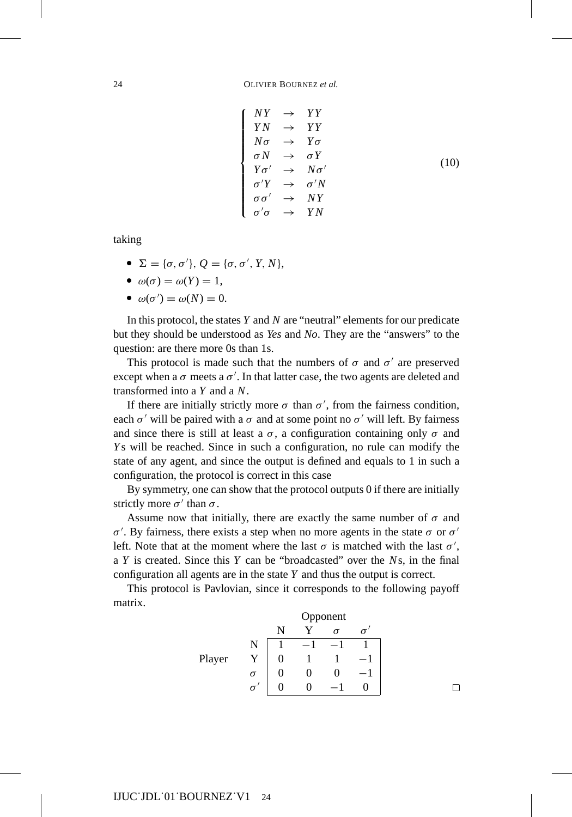$\sqrt{ }$ 

 $<sub>1</sub>$ </sub>

 $<sub>1</sub>$ </sub>

$$
NY \rightarrow YY
$$
  
\n
$$
YN \rightarrow YY
$$
  
\n
$$
N\sigma \rightarrow Y\sigma
$$
  
\n
$$
\sigma N \rightarrow \sigma Y
$$
  
\n
$$
Y\sigma' \rightarrow N\sigma'
$$
  
\n
$$
\sigma'Y \rightarrow \sigma'N
$$
  
\n
$$
\sigma\sigma' \rightarrow NY
$$
  
\n
$$
\sigma'\sigma \rightarrow YN
$$

taking

- $\mathcal{L} = {\sigma, \sigma', P, Q} = {\sigma, \sigma', Y, N},$
- $\omega(\sigma) = \omega(Y) = 1$ ,
- $\omega(\sigma') = \omega(N) = 0.$

In this protocol, the states *Y* and *N* are "neutral" elements for our predicate but they should be understood as *Yes* and *No*. They are the "answers" to the question: are there more 0s than 1s.

This protocol is made such that the numbers of  $\sigma$  and  $\sigma'$  are preserved except when a  $\sigma$  meets a  $\sigma'$ . In that latter case, the two agents are deleted and transformed into a *Y* and a *N*.

If there are initially strictly more  $\sigma$  than  $\sigma'$ , from the fairness condition, each  $\sigma'$  will be paired with a  $\sigma$  and at some point no  $\sigma'$  will left. By fairness and since there is still at least a  $\sigma$ , a configuration containing only  $\sigma$  and *Y* s will be reached. Since in such a configuration, no rule can modify the state of any agent, and since the output is defined and equals to 1 in such a configuration, the protocol is correct in this case

By symmetry, one can show that the protocol outputs 0 if there are initially strictly more  $\sigma'$  than  $\sigma$ .

Assume now that initially, there are exactly the same number of  $\sigma$  and  $\sigma'$ . By fairness, there exists a step when no more agents in the state  $\sigma$  or  $\sigma'$ left. Note that at the moment where the last  $\sigma$  is matched with the last  $\sigma'$ , a *Y* is created. Since this *Y* can be "broadcasted" over the *N*s, in the final configuration all agents are in the state *Y* and thus the output is correct.

This protocol is Pavlovian, since it corresponds to the following payoff matrix.



 $\Box$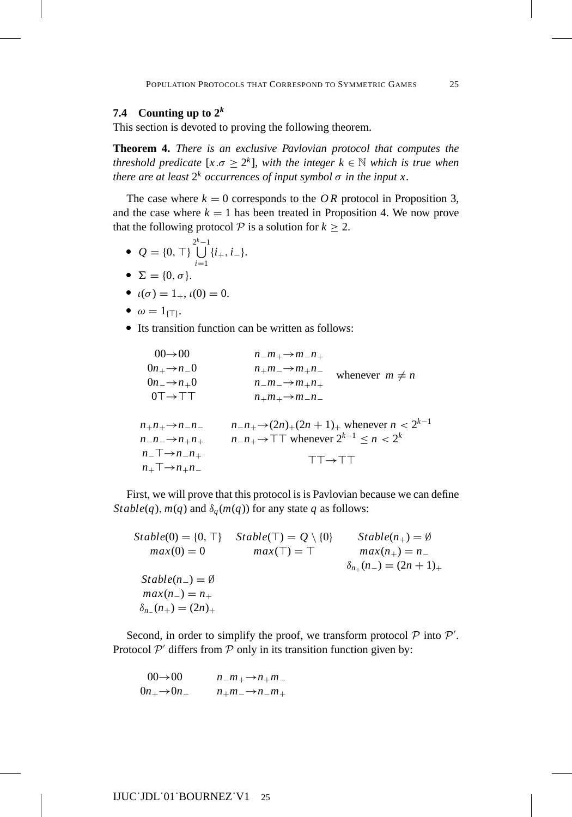## **7.4** Counting up to  $2^k$

This section is devoted to proving the following theorem.

**Theorem 4.** *There is an exclusive Pavlovian protocol that computes the threshold predicate*  $[x.\sigma \geq 2^k]$ *, with the integer*  $k \in \mathbb{N}$  *which is true when there are at least*  $2^k$  *occurrences of input symbol*  $\sigma$  *in the input x.* 

The case where  $k = 0$  corresponds to the *OR* protocol in Proposition 3, and the case where  $k = 1$  has been treated in Proposition 4. We now prove that the following protocol  $P$  is a solution for  $k \geq 2$ .

- $Q = \{0, \top\} \bigcup^{2^k 1}$  $2^k - 1$  $\bigcup_{i=1}$  {*i*<sub>+</sub>, *i*<sub>−</sub>}.
- $\sum = \{0, \sigma\}.$
- $u(\sigma) = 1_+, \iota(0) = 0.$
- $\omega = 1_{\{\top\}}.$
- Its transition function can be written as follows:

| $00 \rightarrow 00$                | $n_{-}m_{+}\rightarrow m_{-}n_{+}$                                  |
|------------------------------------|---------------------------------------------------------------------|
| $0n_{+} \rightarrow n_{-}0$        | $n_{+}m_{-} \rightarrow m_{+}n_{-}$<br>whenever $m \neq n$          |
| $0n \rightarrow n+0$               | $n_{-}m_{-}\rightarrow m_{+}n_{+}$                                  |
| $0T \rightarrow T T$               | $n_+m_+\rightarrow m_n-n_$                                          |
|                                    |                                                                     |
| $n_{+}n_{+}\rightarrow n_{-}n_{-}$ | $n_{-}n_{+}\rightarrow (2n)_{+}(2n+1)_{+}$ whenever $n < 2^{k-1}$   |
| $n_{-}n_{-}\rightarrow n_{+}n_{+}$ | $n_{-}n_{+}\rightarrow \top \top$ whenever $2^{k-1} \leq n < 2^{k}$ |
| $n_{-}\top \rightarrow n_{-}n_{+}$ |                                                                     |
| $n_+\top \rightarrow n_+n_-$       | $TT \rightarrow TT$                                                 |
|                                    |                                                                     |

First, we will prove that this protocol is is Pavlovian because we can define *Stable*(*q*), *m*(*q*) and  $\delta_q$ (*m*(*q*)) for any state *q* as follows:

 $Stable(0) = \{0, \top\}$   $Stable(\top) = Q \setminus \{0\}$  $Bble(0) = \{0, \top\}$   $Stable(\top) = Q \setminus \{0\}$   $Stable(n_{+}) = \emptyset$ <br>  $max(0) = 0$   $max(\top) = \top$   $max(n_{+}) = n_{-}$  $\delta_{n+}(n_{-})=(2n+1)_{+}$  $Stable(n_-) = \emptyset$  $max(n_{-}) = n_{+}$  $δ<sub>n−</sub>(n<sub>+</sub>) = (2n)<sub>+</sub>$ 

Second, in order to simplify the proof, we transform protocol  $P$  into  $P'$ . Protocol  $P'$  differs from  $P$  only in its transition function given by:

$$
00 \rightarrow 00 \t n_m + m_+ \rightarrow n_+ m_-
$$
  

$$
0n_+ \rightarrow 0n_- \t n_+ m_- \rightarrow n_- m_+
$$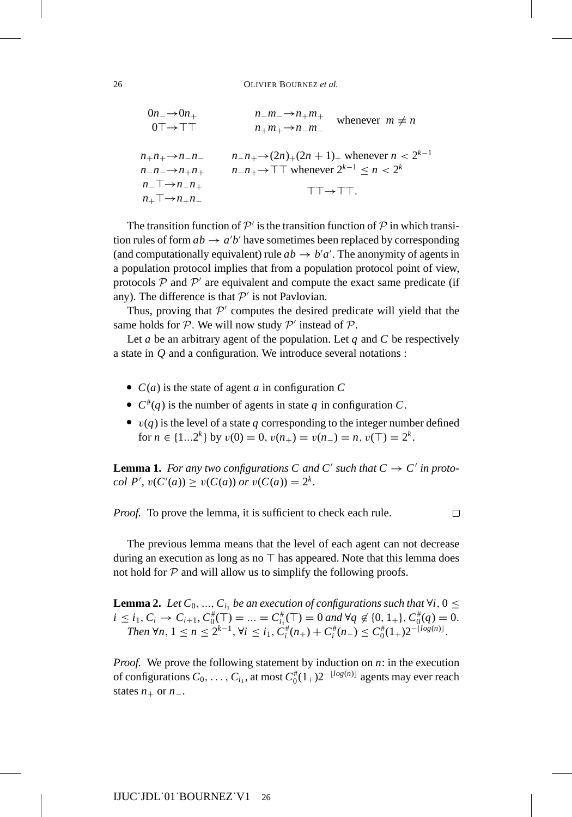$$
0n_{-} \rightarrow 0n_{+} \qquad n_{-}m_{-} \rightarrow n_{+}m_{+} \qquad \text{whenever } m \neq n
$$
  
\n
$$
0 \top \rightarrow \top \top \qquad n_{+}m_{+} \rightarrow n_{-}m_{-} \qquad \text{whenever } n \neq n
$$
  
\n
$$
n_{+}n_{+} \rightarrow n_{-}n_{-} \qquad n_{-}n_{+} \rightarrow (2n)_{+}(2n+1)_{+} \text{whenever } n < 2^{k-1}
$$
  
\n
$$
n_{-}n_{-} \rightarrow n_{+}n_{+} \qquad n_{-}n_{+} \rightarrow \top \top \text{whenever } 2^{k-1} \leq n < 2^{k}
$$
  
\n
$$
n_{-} \top \rightarrow n_{-}n_{+} \qquad \qquad \top \top \rightarrow \top \top.
$$

The transition function of  $\mathcal{P}'$  is the transition function of  $\mathcal P$  in which transition rules of form  $ab \to a'b'$  have sometimes been replaced by corresponding (and computationally equivalent) rule  $ab \rightarrow b'a'$ . The anonymity of agents in a population protocol implies that from a population protocol point of view, protocols  $P$  and  $P'$  are equivalent and compute the exact same predicate (if any). The difference is that  $P'$  is not Pavlovian.

Thus, proving that  $\mathcal{P}'$  computes the desired predicate will yield that the same holds for  $P$ . We will now study  $P'$  instead of  $P$ .

Let *a* be an arbitrary agent of the population. Let *q* and *C* be respectively a state in *Q* and a configuration. We introduce several notations :

- $\bullet$  *C*(*a*) is the state of agent *a* in configuration *C*
- $\bullet$   $C^*(q)$  is the number of agents in state *q* in configuration *C*.
- $\bullet$   $v(q)$  is the level of a state *q* corresponding to the integer number defined for  $n \in \{1...2^k\}$  by  $v(0) = 0$ ,  $v(n_+) = v(n_-) = n$ ,  $v(\top) = 2^k$ .

**Lemma 1.** *For any two configurations C and C' such that*  $C \rightarrow C'$  *in protocol*  $P'$ ,  $v(C'(a)) \ge v(C(a))$  *or*  $v(C(a)) = 2^k$ .

*Proof.* To prove the lemma, it is sufficient to check each rule.

 $\Box$ 

The previous lemma means that the level of each agent can not decrease during an execution as long as no  $\top$  has appeared. Note that this lemma does not hold for  $P$  and will allow us to simplify the following proofs.

**Lemma 2.** *Let*  $C_0$ , ...,  $C_{i_1}$  *be an execution of configurations such that*  $\forall i, 0 \leq$  $i \leq i_1, C_i \to C_{i+1}, C_0^{\#}(\top) = ... = C_{i_1}^{\#}(\top) = 0$  and  $\forall q \notin \{0, 1_+\}, C_0^{\#}(q) = 0.$ *Then* ∀*n*,  $1 \le n \le 2^{k-1}$ ,  $\forall i \le i_1$ ,  $C_i^*(n_+) + C_i^*(n_-) \le C_0^*(1_+)2^{-\lfloor log(n) \rfloor}$ .

*Proof.* We prove the following statement by induction on *n*: in the execution of configurations  $C_0, \ldots, C_{i_1}$ , at most  $C_0^{\#}(1_+)2^{-\lfloor log(n) \rfloor}$  agents may ever reach states  $n_+$  or  $n_-$ .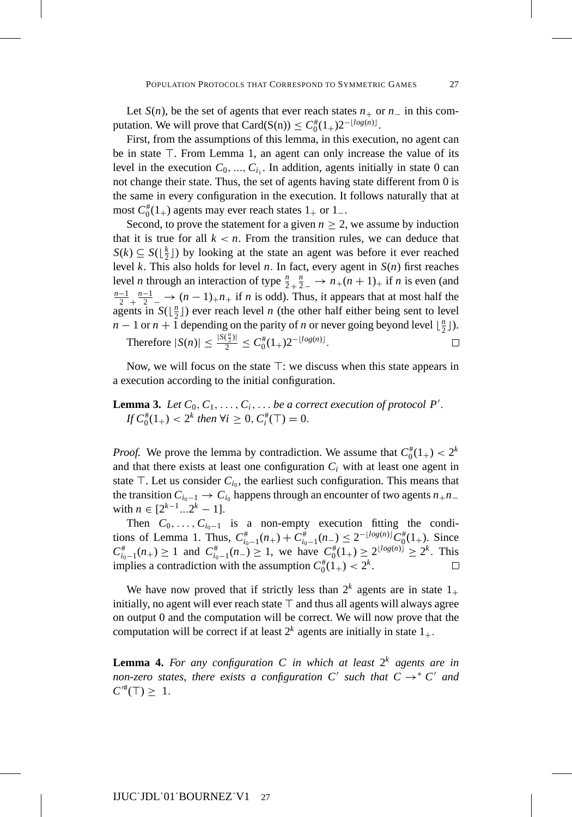Let  $S(n)$ , be the set of agents that ever reach states  $n_+$  or  $n_-$  in this computation. We will prove that  $Card(S(n)) \leq C_0^{\#}(1_+)2^{-\lfloor log(n) \rfloor}$ .

First, from the assumptions of this lemma, in this execution, no agent can be in state  $\top$ . From Lemma 1, an agent can only increase the value of its level in the execution  $C_0$ , ...,  $C_{i_1}$ . In addition, agents initially in state 0 can not change their state. Thus, the set of agents having state different from 0 is the same in every configuration in the execution. It follows naturally that at most  $C_0^*(1_+)$  agents may ever reach states  $1_+$  or  $1_-$ .

Second, to prove the statement for a given  $n \geq 2$ , we assume by induction that it is true for all  $k < n$ . From the transition rules, we can deduce that  $S(k) \subseteq S(\lfloor \frac{k}{2} \rfloor)$  by looking at the state an agent was before it ever reached level *k*. This also holds for level *n*. In fact, every agent in *S*(*n*) first reaches level *n* through an interaction of type  $\frac{n}{2} + \frac{n}{2}$  →  $n_{+}(n + 1)$ <sub>+</sub> if *n* is even (and  $\frac{n-1}{2}$ ,  $\frac{n-1}{2}$  →  $(n-1)$ , *n*<sub>+</sub> if *n* is odd). Thus, it appears that at most half the agents in  $S(\lfloor \frac{n}{2} \rfloor)$  ever reach level *n* (the other half either being sent to level *n* − 1 or *n* + 1 depending on the parity of *n* or never going beyond level  $\lfloor \frac{n}{2} \rfloor$ ).  $\frac{n}{2}$ )|

Therefore 
$$
|S(n)| \le \frac{|S(\frac{n}{2})|}{2} \le C_0^{\#}(1_+)2^{-\lfloor log(n) \rfloor}
$$
.

Now, we will focus on the state  $\top$ : we discuss when this state appears in a execution according to the initial configuration.

**Lemma 3.** Let  $C_0, C_1, \ldots, C_i, \ldots$  be a correct execution of protocol P'. *If*  $C_0^*(1_+) < 2^k$  *then*  $\forall i \geq 0$ ,  $C_i^*(\top) = 0$ .

*Proof.* We prove the lemma by contradiction. We assume that  $C_0^*(1_+) < 2^k$ and that there exists at least one configuration *Ci* with at least one agent in state  $\top$ . Let us consider  $C_{i_0}$ , the earliest such configuration. This means that the transition  $C_{i_0-1} \to C_{i_0}$  happens through an encounter of two agents  $n_+n_$ with  $n \in [2^{k-1}...2^k - 1].$ 

Then  $C_0, \ldots, C_{i_0-1}$  is a non-empty execution fitting the conditions of Lemma 1. Thus,  $C_{i_0-1}^{\#}(n_+) + C_{i_0-1}^{\#}(n_-) \leq 2^{-\lfloor log(n) \rfloor} C_0^{\#}(1_+).$  Since  $C_{i_0-1}^*(n_+) \ge 1$  and  $C_{i_0-1}^*(n_-) \ge 1$ , we have  $C_0^*(1_+) \ge 2^{\lfloor log(n) \rfloor} \ge 2^k$ . This implies a contradiction with the assumption  $C_0^{\#}(1_+) < 2^k$ .  $\Box$ 

We have now proved that if strictly less than  $2^k$  agents are in state  $1_+$ initially, no agent will ever reach state  $\top$  and thus all agents will always agree on output 0 and the computation will be correct. We will now prove that the computation will be correct if at least  $2^k$  agents are initially in state  $1_+$ .

**Lemma 4.** For any configuration C in which at least  $2^k$  agents are in *non-zero states, there exists a configuration C' such that*  $C \rightarrow C'$  *and*  $C^{/#}(T) \geq 1$ .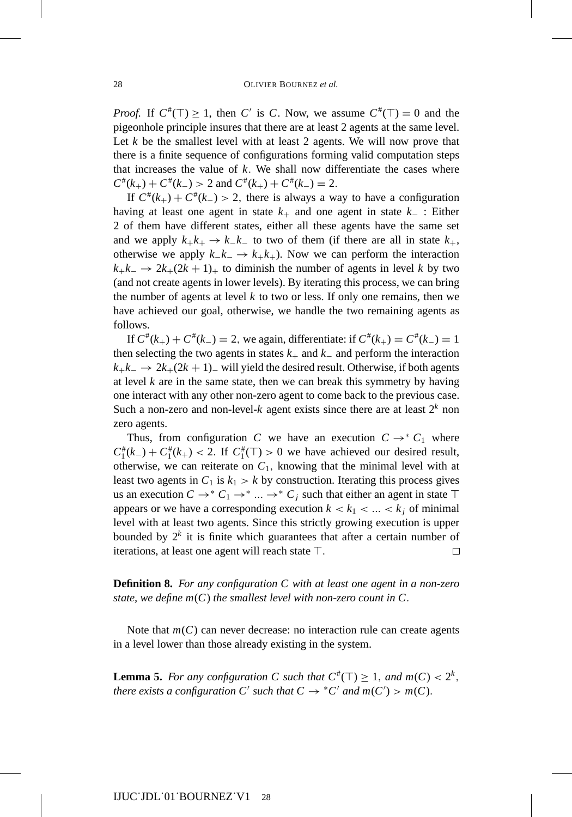*Proof.* If  $C^{\#}(T) \geq 1$ , then *C'* is *C*. Now, we assume  $C^{\#}(T) = 0$  and the pigeonhole principle insures that there are at least 2 agents at the same level. Let  $k$  be the smallest level with at least 2 agents. We will now prove that there is a finite sequence of configurations forming valid computation steps that increases the value of  $k$ . We shall now differentiate the cases where  $C^*(k_+) + C^*(k_-) > 2$  and  $C^*(k_+) + C^*(k_-) = 2$ .

If  $C^*(k_+) + C^*(k_-) > 2$ , there is always a way to have a configuration having at least one agent in state  $k_{+}$  and one agent in state  $k_{-}$ : Either 2 of them have different states, either all these agents have the same set and we apply  $k_+k_+ \to k_-k^-$  to two of them (if there are all in state  $k_+$ , otherwise we apply  $k_–k_−$  →  $k_+k_+$ ). Now we can perform the interaction  $k_+k_-\rightarrow 2k_+(2k+1)_+$  to diminish the number of agents in level *k* by two (and not create agents in lower levels). By iterating this process, we can bring the number of agents at level  $k$  to two or less. If only one remains, then we have achieved our goal, otherwise, we handle the two remaining agents as follows.

If  $C^*(k_+) + C^*(k_-) = 2$ , we again, differentiate: if  $C^*(k_+) = C^*(k_-) = 1$ then selecting the two agents in states  $k_{+}$  and  $k_{-}$  and perform the interaction  $k_+k_-\rightarrow 2k_+(2k+1)_-$  will yield the desired result. Otherwise, if both agents at level  $k$  are in the same state, then we can break this symmetry by having one interact with any other non-zero agent to come back to the previous case. Such a non-zero and non-level- $k$  agent exists since there are at least  $2^k$  non zero agents.

Thus, from configuration *C* we have an execution  $C \rightarrow C_1$  where  $C_1^*(k_-) + C_1^*(k_+) < 2$ . If  $C_1^*(T) > 0$  we have achieved our desired result, otherwise, we can reiterate on  $C_1$ , knowing that the minimal level with at least two agents in  $C_1$  is  $k_1 > k$  by construction. Iterating this process gives us an execution  $C \rightarrow^* C_1 \rightarrow^* ... \rightarrow^* C_j$  such that either an agent in state T appears or we have a corresponding execution  $k < k_1 < ... < k_i$  of minimal level with at least two agents. Since this strictly growing execution is upper bounded by  $2^k$  it is finite which guarantees that after a certain number of iterations, at least one agent will reach state  $\top$ .  $\Box$ 

**Definition 8.** *For any configuration C with at least one agent in a non-zero state, we define m*(*C*) *the smallest level with non-zero count in C*.

Note that  $m(C)$  can never decrease: no interaction rule can create agents in a level lower than those already existing in the system.

**Lemma 5.** *For any configuration C such that*  $C^{\#}(T) \geq 1$ , *and*  $m(C) < 2^{k}$ , *there exists a configuration C' such that*  $C \rightarrow {}^*C'$  *and*  $m(C') > m(C)$ *.*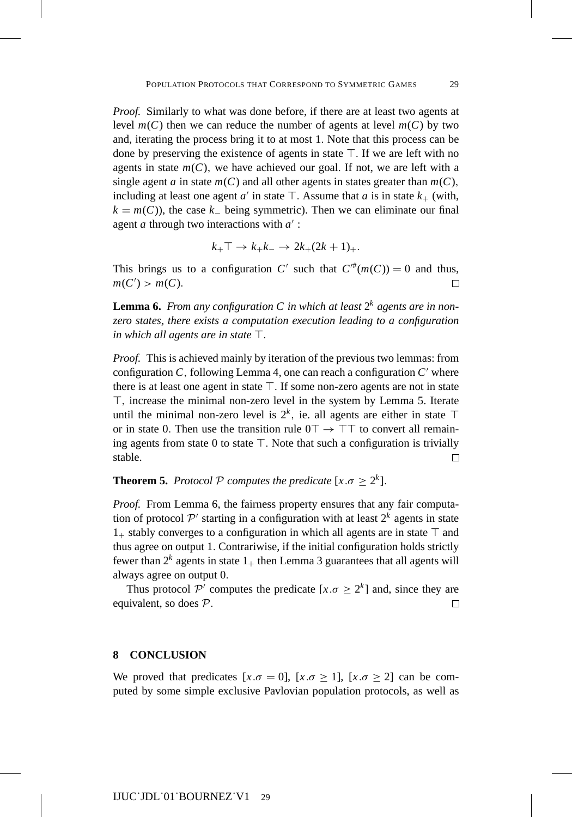*Proof.* Similarly to what was done before, if there are at least two agents at level  $m(C)$  then we can reduce the number of agents at level  $m(C)$  by two and, iterating the process bring it to at most 1. Note that this process can be done by preserving the existence of agents in state  $\top$ . If we are left with no agents in state  $m(C)$ , we have achieved our goal. If not, we are left with a single agent *a* in state  $m(C)$  and all other agents in states greater than  $m(C)$ , including at least one agent  $a'$  in state  $\top$ . Assume that  $a$  is in state  $k_{+}$  (with,  $k = m(C)$ , the case  $k<sub>−</sub>$  being symmetric). Then we can eliminate our final agent *a* through two interactions with *a* :

$$
k_+ \top \rightarrow k_+ k_- \rightarrow 2k_+ (2k+1)_+.
$$

This brings us to a configuration *C'* such that  $C^{\#}(m(C)) = 0$  and thus,  $m(C') > m(C)$ .  $\Box$ 

**Lemma 6.** *From any configuration* C in which at least  $2^k$  agents are in non*zero states, there exists a computation execution leading to a configuration in which all agents are in state*  $\top$ .

*Proof.* This is achieved mainly by iteration of the previous two lemmas: from configuration  $C$ , following Lemma 4, one can reach a configuration  $C'$  where there is at least one agent in state  $\top$ . If some non-zero agents are not in state , increase the minimal non-zero level in the system by Lemma 5. Iterate until the minimal non-zero level is  $2^k$ , ie. all agents are either in state  $\top$ or in state 0. Then use the transition rule  $0^{\text{T}} \rightarrow \text{T}^{\text{T}}$  to convert all remaining agents from state  $0$  to state  $\top$ . Note that such a configuration is trivially stable.  $\Box$ 

**Theorem 5.** *Protocol*  $P$  *computes the predicate*  $[x.\sigma \geq 2^k]$ *.* 

*Proof.* From Lemma 6, the fairness property ensures that any fair computation of protocol  $\mathcal{P}'$  starting in a configuration with at least  $2^k$  agents in state  $1_{+}$  stably converges to a configuration in which all agents are in state  $\top$  and thus agree on output 1. Contrariwise, if the initial configuration holds strictly fewer than  $2^k$  agents in state  $1_+$  then Lemma 3 guarantees that all agents will always agree on output 0.

Thus protocol P' computes the predicate  $[x.\sigma \ge 2^k]$  and, since they are uivalent, so does P. equivalent, so does P.

## **8 CONCLUSION**

We proved that predicates  $[x.\sigma = 0]$ ,  $[x.\sigma \ge 1]$ ,  $[x.\sigma \ge 2]$  can be computed by some simple exclusive Pavlovian population protocols, as well as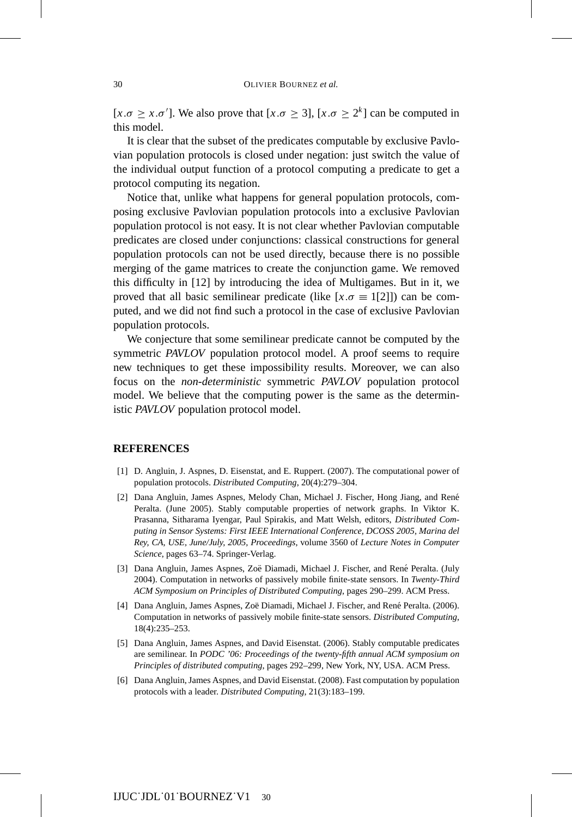[ $x.\sigma \geq x.\sigma'$ ]. We also prove that [ $x.\sigma \geq 3$ ], [ $x.\sigma \geq 2^{k}$ ] can be computed in this model.

It is clear that the subset of the predicates computable by exclusive Pavlovian population protocols is closed under negation: just switch the value of the individual output function of a protocol computing a predicate to get a protocol computing its negation.

Notice that, unlike what happens for general population protocols, composing exclusive Pavlovian population protocols into a exclusive Pavlovian population protocol is not easy. It is not clear whether Pavlovian computable predicates are closed under conjunctions: classical constructions for general population protocols can not be used directly, because there is no possible merging of the game matrices to create the conjunction game. We removed this difficulty in [12] by introducing the idea of Multigames. But in it, we proved that all basic semilinear predicate (like  $[x.\sigma = 1[2]]$ ) can be computed, and we did not find such a protocol in the case of exclusive Pavlovian population protocols.

We conjecture that some semilinear predicate cannot be computed by the symmetric *PAVLOV* population protocol model. A proof seems to require new techniques to get these impossibility results. Moreover, we can also focus on the *non-deterministic* symmetric *PAVLOV* population protocol model. We believe that the computing power is the same as the deterministic *PAVLOV* population protocol model.

#### **REFERENCES**

- [1] D. Angluin, J. Aspnes, D. Eisenstat, and E. Ruppert. (2007). The computational power of population protocols. *Distributed Computing*, 20(4):279–304.
- [2] Dana Angluin, James Aspnes, Melody Chan, Michael J. Fischer, Hong Jiang, and Rene´ Peralta. (June 2005). Stably computable properties of network graphs. In Viktor K. Prasanna, Sitharama Iyengar, Paul Spirakis, and Matt Welsh, editors, *Distributed Computing in Sensor Systems: First IEEE International Conference, DCOSS 2005, Marina del Rey, CA, USE, June/July, 2005, Proceedings*, volume 3560 of *Lecture Notes in Computer Science*, pages 63–74. Springer-Verlag.
- [3] Dana Angluin, James Aspnes, Zoë Diamadi, Michael J. Fischer, and René Peralta. (July 2004). Computation in networks of passively mobile finite-state sensors. In *Twenty-Third ACM Symposium on Principles of Distributed Computing*, pages 290–299. ACM Press.
- [4] Dana Angluin, James Aspnes, Zoë Diamadi, Michael J. Fischer, and René Peralta. (2006). Computation in networks of passively mobile finite-state sensors. *Distributed Computing*, 18(4):235–253.
- [5] Dana Angluin, James Aspnes, and David Eisenstat. (2006). Stably computable predicates are semilinear. In *PODC '06: Proceedings of the twenty-fifth annual ACM symposium on Principles of distributed computing*, pages 292–299, New York, NY, USA. ACM Press.
- [6] Dana Angluin, James Aspnes, and David Eisenstat. (2008). Fast computation by population protocols with a leader. *Distributed Computing*, 21(3):183–199.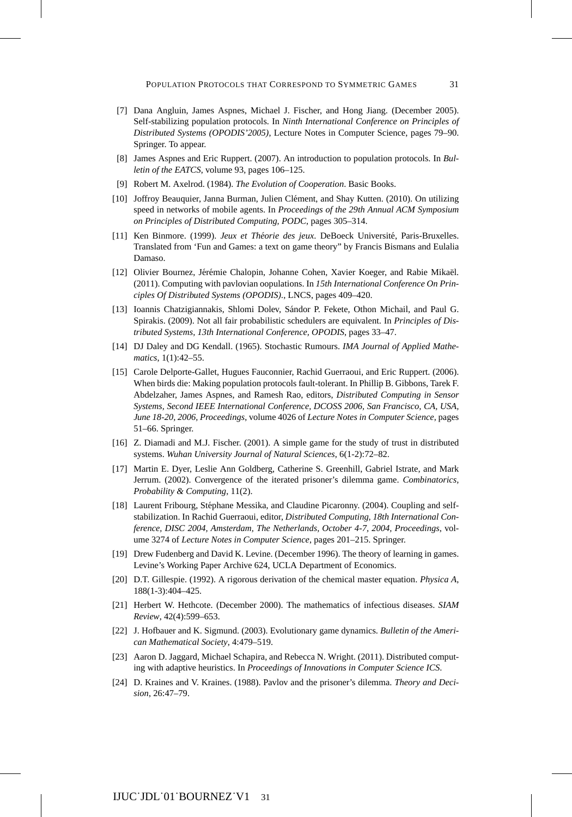- [7] Dana Angluin, James Aspnes, Michael J. Fischer, and Hong Jiang. (December 2005). Self-stabilizing population protocols. In *Ninth International Conference on Principles of Distributed Systems (OPODIS'2005)*, Lecture Notes in Computer Science, pages 79–90. Springer. To appear.
- [8] James Aspnes and Eric Ruppert. (2007). An introduction to population protocols. In *Bulletin of the EATCS*, volume 93, pages 106–125.
- [9] Robert M. Axelrod. (1984). *The Evolution of Cooperation*. Basic Books.
- [10] Joffroy Beauquier, Janna Burman, Julien Clément, and Shay Kutten. (2010). On utilizing speed in networks of mobile agents. In *Proceedings of the 29th Annual ACM Symposium on Principles of Distributed Computing, PODC*, pages 305–314.
- [11] Ken Binmore. (1999). *Jeux et Theorie des jeux ´* . DeBoeck Universite, Paris-Bruxelles. ´ Translated from 'Fun and Games: a text on game theory" by Francis Bismans and Eulalia Damaso.
- [12] Olivier Bournez, Jérémie Chalopin, Johanne Cohen, Xavier Koeger, and Rabie Mikaël. (2011). Computing with pavlovian oopulations. In *15th International Conference On Principles Of Distributed Systems (OPODIS).*, LNCS, pages 409–420.
- [13] Ioannis Chatzigiannakis, Shlomi Dolev, Sándor P. Fekete, Othon Michail, and Paul G. Spirakis. (2009). Not all fair probabilistic schedulers are equivalent. In *Principles of Distributed Systems, 13th International Conference, OPODIS*, pages 33–47.
- [14] DJ Daley and DG Kendall. (1965). Stochastic Rumours. *IMA Journal of Applied Mathematics*, 1(1):42–55.
- [15] Carole Delporte-Gallet, Hugues Fauconnier, Rachid Guerraoui, and Eric Ruppert. (2006). When birds die: Making population protocols fault-tolerant. In Phillip B. Gibbons, Tarek F. Abdelzaher, James Aspnes, and Ramesh Rao, editors, *Distributed Computing in Sensor Systems, Second IEEE International Conference, DCOSS 2006, San Francisco, CA, USA, June 18-20, 2006, Proceedings*, volume 4026 of *Lecture Notes in Computer Science*, pages 51–66. Springer.
- [16] Z. Diamadi and M.J. Fischer. (2001). A simple game for the study of trust in distributed systems. *Wuhan University Journal of Natural Sciences*, 6(1-2):72–82.
- [17] Martin E. Dyer, Leslie Ann Goldberg, Catherine S. Greenhill, Gabriel Istrate, and Mark Jerrum. (2002). Convergence of the iterated prisoner's dilemma game. *Combinatorics, Probability & Computing*, 11(2).
- [18] Laurent Fribourg, Stephane Messika, and Claudine Picaronny. (2004). Coupling and self- ´ stabilization. In Rachid Guerraoui, editor, *Distributed Computing, 18th International Conference, DISC 2004, Amsterdam, The Netherlands, October 4-7, 2004, Proceedings*, volume 3274 of *Lecture Notes in Computer Science*, pages 201–215. Springer.
- [19] Drew Fudenberg and David K. Levine. (December 1996). The theory of learning in games. Levine's Working Paper Archive 624, UCLA Department of Economics.
- [20] D.T. Gillespie. (1992). A rigorous derivation of the chemical master equation. *Physica A*, 188(1-3):404–425.
- [21] Herbert W. Hethcote. (December 2000). The mathematics of infectious diseases. *SIAM Review*, 42(4):599–653.
- [22] J. Hofbauer and K. Sigmund. (2003). Evolutionary game dynamics. *Bulletin of the American Mathematical Society*, 4:479–519.
- [23] Aaron D. Jaggard, Michael Schapira, and Rebecca N. Wright. (2011). Distributed computing with adaptive heuristics. In *Proceedings of Innovations in Computer Science ICS*.
- [24] D. Kraines and V. Kraines. (1988). Pavlov and the prisoner's dilemma. *Theory and Decision*, 26:47–79.